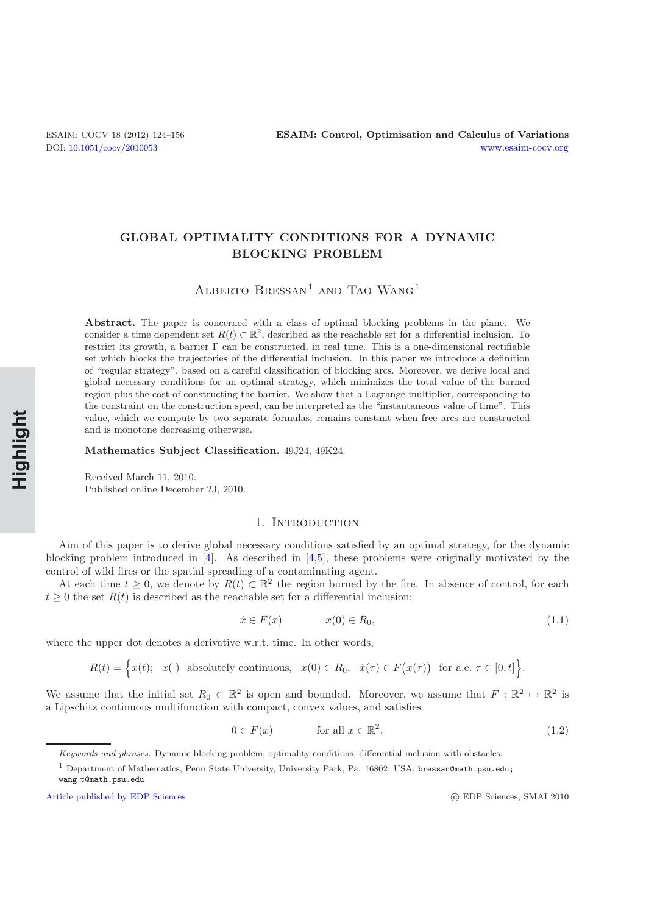# **GLOBAL OPTIMALITY CONDITIONS FOR A DYNAMIC BLOCKING PROBLEM**

ALBERTO $\textsc{Bressan}^1$  and Tao  $\textsc{Wang}^1$ 

**Abstract.** The paper is concerned with a class of optimal blocking problems in the plane. We consider a time dependent set  $R(t) \subset \mathbb{R}^2$ , described as the reachable set for a differential inclusion. To restrict its growth, a barrier Γ can be constructed, in real time. This is a one-dimensional rectifiable set which blocks the trajectories of the differential inclusion. In this paper we introduce a definition of "regular strategy", based on a careful classification of blocking arcs. Moreover, we derive local and global necessary conditions for an optimal strategy, which minimizes the total value of the burned region plus the cost of constructing the barrier. We show that a Lagrange multiplier, corresponding to the constraint on the construction speed, can be interpreted as the "instantaneous value of time". This value, which we compute by two separate formulas, remains constant when free arcs are constructed and is monotone decreasing otherwise.

**Mathematics Subject Classification.** 49J24, 49K24.

Received March 11, 2010. Published online December 23, 2010.

## 1. INTRODUCTION

Aim of this paper is to derive global necessary conditions satisfied by an optimal strategy, for the dynamic blocking problem introduced in [\[4](#page-32-0)]. As described in [\[4](#page-32-0)[,5](#page-32-1)], these problems were originally motivated by the control of wild fires or the spatial spreading of a contaminating agent.

At each time  $t \geq 0$ , we denote by  $R(t) \subset \mathbb{R}^2$  the region burned by the fire. In absence of control, for each  $t \geq 0$  the set  $R(t)$  is described as the reachable set for a differential inclusion:

<span id="page-0-0"></span>
$$
\dot{x} \in F(x) \qquad x(0) \in R_0,\tag{1.1}
$$

where the upper dot denotes a derivative w.r.t. time. In other words,

$$
R(t) = \Big\{ x(t); \quad x(\cdot) \quad \text{absolutely continuous}, \quad x(0) \in R_0, \quad \dot{x}(\tau) \in F(x(\tau)) \quad \text{for a.e. } \tau \in [0, t] \Big\}.
$$

We assume that the initial set  $R_0 \subset \mathbb{R}^2$  is open and bounded. Moreover, we assume that  $F : \mathbb{R}^2 \to \mathbb{R}^2$  is a Lipschitz continuous multifunction with compact, convex values, and satisfies

$$
0 \in F(x) \qquad \text{for all } x \in \mathbb{R}^2. \tag{1.2}
$$

c EDP Sciences, SMAI 2010

Keywords and phrases. Dynamic blocking problem, optimality conditions, differential inclusion with obstacles.

<sup>&</sup>lt;sup>1</sup> Department of Mathematics, Penn State University, University Park, Pa. 16802, USA. bressan@math.psu.edu;

wang t@math.psu.edu

[Article published by EDP Sciences](http://www.edpsciences.org)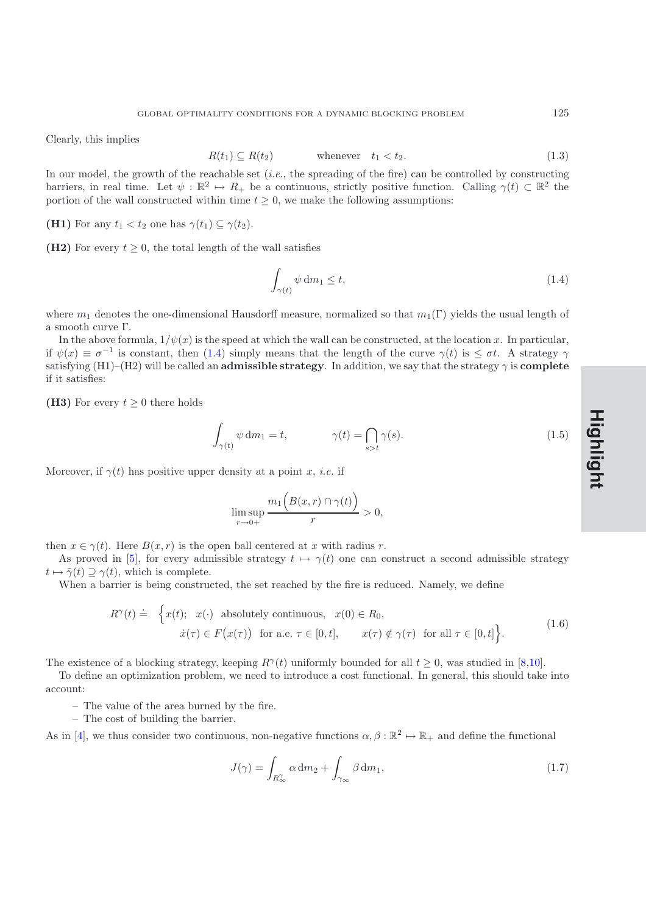Clearly, this implies

$$
R(t_1) \subseteq R(t_2) \qquad \text{whenever} \quad t_1 < t_2. \tag{1.3}
$$

In our model, the growth of the reachable set (*i.e.*, the spreading of the fire) can be controlled by constructing barriers, in real time. Let  $\psi : \mathbb{R}^2 \to R_+$  be a continuous, strictly positive function. Calling  $\gamma(t) \subset \mathbb{R}^2$  the portion of the wall constructed within time  $t \geq 0$ , we make the following assumptions:

**(H1)** For any  $t_1 < t_2$  one has  $\gamma(t_1) \subseteq \gamma(t_2)$ .

**(H2)** For every  $t \geq 0$ , the total length of the wall satisfies

<span id="page-1-0"></span>
$$
\int_{\gamma(t)} \psi \, dm_1 \le t,\tag{1.4}
$$

where  $m_1$  denotes the one-dimensional Hausdorff measure, normalized so that  $m_1(\Gamma)$  yields the usual length of a smooth curve Γ.

In the above formula,  $1/\psi(x)$  is the speed at which the wall can be constructed, at the location x. In particular, if  $\psi(x) \equiv \sigma^{-1}$  is constant, then [\(1.4\)](#page-1-0) simply means that the length of the curve  $\gamma(t)$  is  $\leq \sigma t$ . A strategy  $\gamma$ satisfying  $(H1)$ – $(H2)$  will be called an **admissible strategy**. In addition, we say that the strategy  $\gamma$  is **complete** if it satisfies:

**(H3)** For every  $t \geq 0$  there holds

$$
\int_{\gamma(t)} \psi \, dm_1 = t, \qquad \gamma(t) = \bigcap_{s > t} \gamma(s). \tag{1.5}
$$

Moreover, if  $\gamma(t)$  has positive upper density at a point x, *i.e.* if

$$
\limsup_{r \to 0+} \frac{m_1(B(x,r) \cap \gamma(t))}{r} > 0,
$$

then  $x \in \gamma(t)$ . Here  $B(x, r)$  is the open ball centered at x with radius r.

As proved in [\[5](#page-32-1)], for every admissible strategy  $t \mapsto \gamma(t)$  one can construct a second admissible strategy  $t \mapsto \tilde{\gamma}(t) \supseteq \gamma(t)$ , which is complete.

When a barrier is being constructed, the set reached by the fire is reduced. Namely, we define

$$
R^{\gamma}(t) \doteq \begin{cases} x(t); & x(\cdot) \text{ absolutely continuous, } x(0) \in R_0, \\ \dot{x}(\tau) \in F(x(\tau)) \text{ for a.e. } \tau \in [0, t], & x(\tau) \notin \gamma(\tau) \text{ for all } \tau \in [0, t] \end{cases}
$$
(1.6)

The existence of a blocking strategy, keeping  $R^{\gamma}(t)$  uniformly bounded for all  $t \geq 0$ , was studied in [\[8](#page-32-2)[,10\]](#page-32-3).

To define an optimization problem, we need to introduce a cost functional. In general, this should take into account:

- The value of the area burned by the fire.
- The cost of building the barrier.

As in [\[4](#page-32-0)], we thus consider two continuous, non-negative functions  $\alpha, \beta : \mathbb{R}^2 \mapsto \mathbb{R}_+$  and define the functional

<span id="page-1-1"></span>
$$
J(\gamma) = \int_{R_{\infty}^{\gamma}} \alpha \, dm_2 + \int_{\gamma_{\infty}} \beta \, dm_1,\tag{1.7}
$$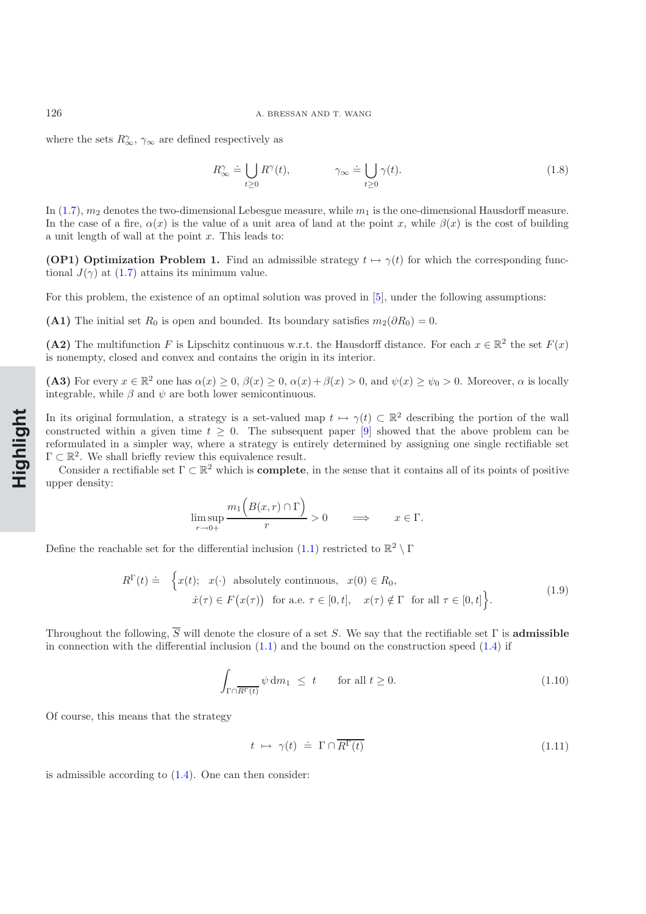where the sets  $R_{\infty}^{\gamma}$ ,  $\gamma_{\infty}$  are defined respectively as

$$
R_{\infty}^{\gamma} \doteq \bigcup_{t \geq 0} R^{\gamma}(t), \qquad \gamma_{\infty} \doteq \bigcup_{t \geq 0} \gamma(t). \qquad (1.8)
$$

In  $(1.7)$ ,  $m_2$  denotes the two-dimensional Lebesgue measure, while  $m_1$  is the one-dimensional Hausdorff measure. In the case of a fire,  $\alpha(x)$  is the value of a unit area of land at the point x, while  $\beta(x)$  is the cost of building a unit length of wall at the point  $x$ . This leads to:

**(OP1) Optimization Problem 1.** Find an admissible strategy  $t \mapsto \gamma(t)$  for which the corresponding functional  $J(\gamma)$  at [\(1.7\)](#page-1-1) attains its minimum value.

For this problem, the existence of an optimal solution was proved in [\[5\]](#page-32-1), under the following assumptions:

(A1) The initial set  $R_0$  is open and bounded. Its boundary satisfies  $m_2(\partial R_0) = 0$ .

**(A2)** The multifunction F is Lipschitz continuous w.r.t. the Hausdorff distance. For each  $x \in \mathbb{R}^2$  the set  $F(x)$ is nonempty, closed and convex and contains the origin in its interior.

(A3) For every  $x \in \mathbb{R}^2$  one has  $\alpha(x) \geq 0$ ,  $\beta(x) \geq 0$ ,  $\alpha(x) + \beta(x) > 0$ , and  $\psi(x) \geq \psi_0 > 0$ . Moreover,  $\alpha$  is locally integrable, while  $\beta$  and  $\psi$  are both lower semicontinuous.

In its original formulation, a strategy is a set-valued map  $t \mapsto \gamma(t) \subset \mathbb{R}^2$  describing the portion of the wall constructed within a given time  $t \geq 0$ . The subsequent paper [\[9\]](#page-32-4) showed that the above problem can be reformulated in a simpler way, where a strategy is entirely determined by assigning one single rectifiable set  $\Gamma \subset \mathbb{R}^2$ . We shall briefly review this equivalence result.

Consider a rectifiable set  $\Gamma \subset \mathbb{R}^2$  which is **complete**, in the sense that it contains all of its points of positive upper density:

$$
\limsup_{r \to 0+} \frac{m_1(B(x,r) \cap \Gamma)}{r} > 0 \qquad \Longrightarrow \qquad x \in \Gamma.
$$

Define the reachable set for the differential inclusion [\(1.1\)](#page-0-0) restricted to  $\mathbb{R}^2 \setminus \Gamma$ 

$$
R^{\Gamma}(t) \doteq \begin{cases} x(t); & x(\cdot) \text{ absolutely continuous, } x(0) \in R_0, \\ \dot{x}(\tau) \in F(x(\tau)) \text{ for a.e. } \tau \in [0, t], & x(\tau) \notin \Gamma \text{ for all } \tau \in [0, t] \end{cases}
$$
(1.9)

Throughout the following,  $\overline{S}$  will denote the closure of a set S. We say that the rectifiable set  $\Gamma$  is **admissible** in connection with the differential inclusion  $(1.1)$  and the bound on the construction speed  $(1.4)$  if

<span id="page-2-1"></span>
$$
\int_{\Gamma \cap \overline{R^{\Gamma}(t)}} \psi \, dm_1 \leq t \qquad \text{for all } t \geq 0. \tag{1.10}
$$

Of course, this means that the strategy

<span id="page-2-0"></span>
$$
t \mapsto \gamma(t) \doteq \Gamma \cap \overline{R^{\Gamma}(t)} \tag{1.11}
$$

is admissible according to  $(1.4)$ . One can then consider: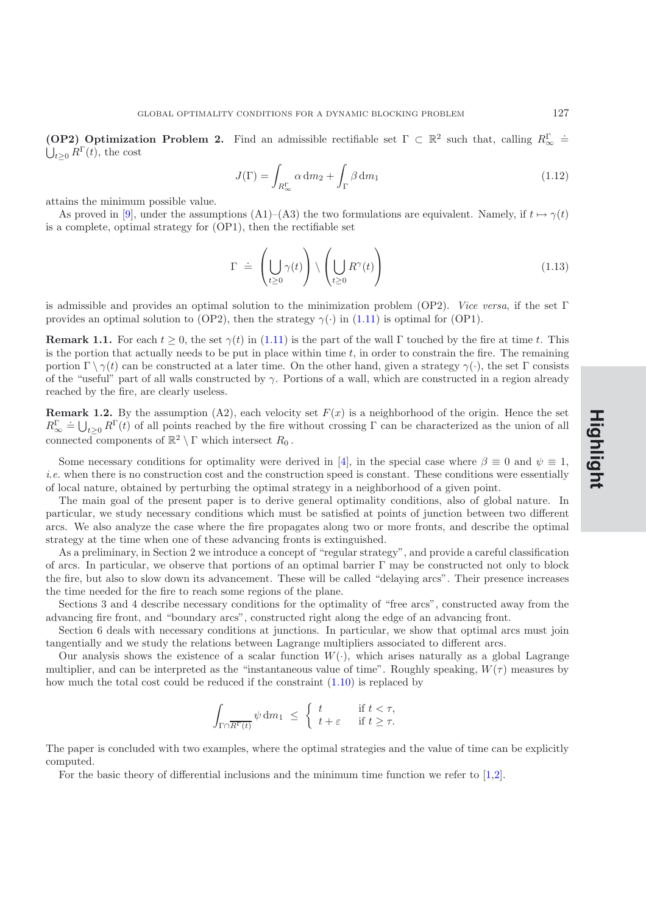**(OP2)** Optimization Problem 2. Find an admissible rectifiable set  $\Gamma \subset \mathbb{R}^2$  such that, calling  $R_{\infty}^{\Gamma}$  =  $\dot{\bigcup}_{t\geq 0} R^{\Gamma}(t)$ , the cost

$$
J(\Gamma) = \int_{R_{\infty}^{\Gamma}} \alpha \, \mathrm{d}m_2 + \int_{\Gamma} \beta \, \mathrm{d}m_1 \tag{1.12}
$$

attains the minimum possible value.

As proved in [\[9](#page-32-4)], under the assumptions (A1)–(A3) the two formulations are equivalent. Namely, if  $t \mapsto \gamma(t)$ is a complete, optimal strategy for (OP1), then the rectifiable set

$$
\Gamma \doteq \left( \bigcup_{t \geq 0} \gamma(t) \right) \setminus \left( \bigcup_{t \geq 0} R^{\gamma}(t) \right) \tag{1.13}
$$

is admissible and provides an optimal solution to the minimization problem (OP2). *Vice versa*, if the set Γ provides an optimal solution to (OP2), then the strategy  $\gamma(\cdot)$  in [\(1.11\)](#page-2-0) is optimal for (OP1).

**Remark 1.1.** For each  $t \geq 0$ , the set  $\gamma(t)$  in [\(1.11\)](#page-2-0) is the part of the wall Γ touched by the fire at time t. This is the portion that actually needs to be put in place within time  $t$ , in order to constrain the fire. The remaining portion  $\Gamma \setminus \gamma(t)$  can be constructed at a later time. On the other hand, given a strategy  $\gamma(\cdot)$ , the set  $\Gamma$  consists of the "useful" part of all walls constructed by  $\gamma$ . Portions of a wall, which are constructed in a region already reached by the fire, are clearly useless.

**Remark 1.2.** By the assumption (A2), each velocity set  $F(x)$  is a neighborhood of the origin. Hence the set  $R_{\infty}^{\Gamma} \doteq \bigcup_{t \geq 0} R^{\Gamma}(t)$  of all points reached by the fire without crossing  $\Gamma$  can be characterized as the union of all connected components of  $\mathbb{R}^2 \setminus \Gamma$  which intersect  $R_0$ .

Some necessary conditions for optimality were derived in [\[4\]](#page-32-0), in the special case where  $\beta \equiv 0$  and  $\psi \equiv 1$ , *i.e.* when there is no construction cost and the construction speed is constant. These conditions were essentially of local nature, obtained by perturbing the optimal strategy in a neighborhood of a given point.

The main goal of the present paper is to derive general optimality conditions, also of global nature. In particular, we study necessary conditions which must be satisfied at points of junction between two different arcs. We also analyze the case where the fire propagates along two or more fronts, and describe the optimal strategy at the time when one of these advancing fronts is extinguished.

As a preliminary, in Section 2 we introduce a concept of "regular strategy", and provide a careful classification of arcs. In particular, we observe that portions of an optimal barrier  $\Gamma$  may be constructed not only to block the fire, but also to slow down its advancement. These will be called "delaying arcs". Their presence increases the time needed for the fire to reach some regions of the plane.

Sections 3 and 4 describe necessary conditions for the optimality of "free arcs", constructed away from the advancing fire front, and "boundary arcs", constructed right along the edge of an advancing front.

Section 6 deals with necessary conditions at junctions. In particular, we show that optimal arcs must join tangentially and we study the relations between Lagrange multipliers associated to different arcs.

Our analysis shows the existence of a scalar function  $W(\cdot)$ , which arises naturally as a global Lagrange multiplier, and can be interpreted as the "instantaneous value of time". Roughly speaking,  $W(\tau)$  measures by how much the total cost could be reduced if the constraint  $(1.10)$  is replaced by

$$
\int_{\Gamma \cap \overline{R^{\Gamma}(t)}} \psi \, dm_1 \ \leq \ \begin{cases} \ t & \text{if } t < \tau, \\ \ t + \varepsilon & \text{if } t \geq \tau. \end{cases}
$$

The paper is concluded with two examples, where the optimal strategies and the value of time can be explicitly computed.

For the basic theory of differential inclusions and the minimum time function we refer to [\[1](#page-32-5)[,2](#page-32-6)].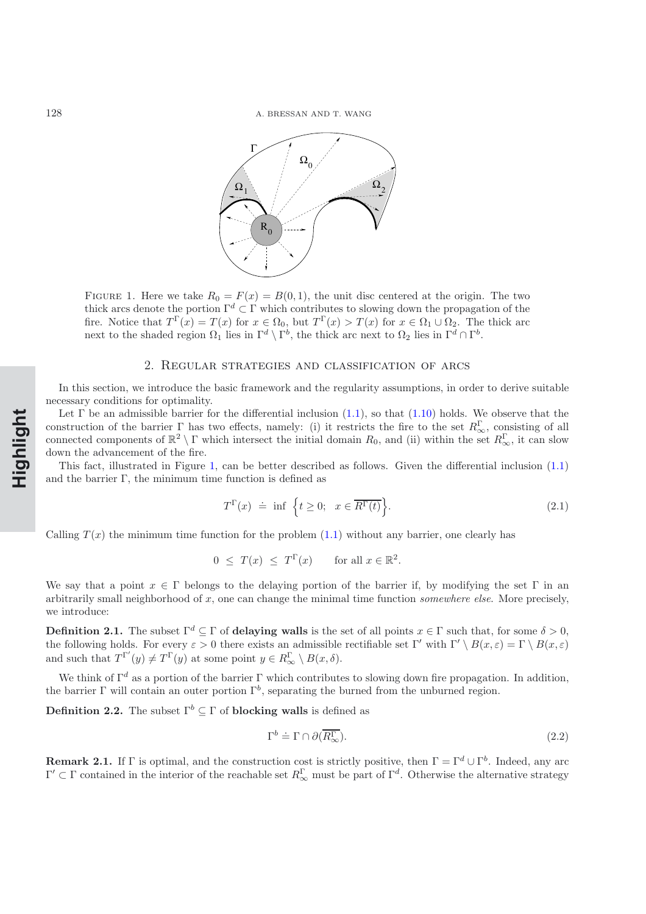128 A. BRESSAN AND T. WANG



<span id="page-4-0"></span>FIGURE 1. Here we take  $R_0 = F(x) = B(0,1)$ , the unit disc centered at the origin. The two thick arcs denote the portion  $\Gamma^d \subset \Gamma$  which contributes to slowing down the propagation of the fire. Notice that  $T^{\Gamma}(x) = T(x)$  for  $x \in \Omega_0$ , but  $T^{\Gamma}(x) > T(x)$  for  $x \in \Omega_1 \cup \Omega_2$ . The thick arc next to the shaded region  $\Omega_1$  lies in  $\Gamma^d \setminus \Gamma^b$ , the thick arc next to  $\Omega_2$  lies in  $\Gamma^d \cap \Gamma^b$ .

#### 2. Regular strategies and classification of arcs

In this section, we introduce the basic framework and the regularity assumptions, in order to derive suitable necessary conditions for optimality.

Let  $\Gamma$  be an admissible barrier for the differential inclusion [\(1.1\)](#page-0-0), so that [\(1.10\)](#page-2-1) holds. We observe that the construction of the barrier  $\Gamma$  has two effects, namely: (i) it restricts the fire to the set  $R^{\Gamma}_{\infty}$ , consisting of all connected components of  $\mathbb{R}^2 \setminus \Gamma$  which intersect the initial domain  $R_0$ , and (ii) within the set  $R_{\infty}^{\Gamma}$ , it can slow down the advancement of the fire.

This fact, illustrated in Figure [1,](#page-4-0) can be better described as follows. Given the differential inclusion [\(1.1\)](#page-0-0) and the barrier  $\Gamma$ , the minimum time function is defined as

$$
T^{\Gamma}(x) \doteq \inf \left\{ t \ge 0; \quad x \in \overline{R^{\Gamma}(t)} \right\}.
$$
 (2.1)

Calling  $T(x)$  the minimum time function for the problem  $(1.1)$  without any barrier, one clearly has

$$
0 \leq T(x) \leq T^{\Gamma}(x) \quad \text{for all } x \in \mathbb{R}^2.
$$

We say that a point  $x \in \Gamma$  belongs to the delaying portion of the barrier if, by modifying the set  $\Gamma$  in an arbitrarily small neighborhood of x, one can change the minimal time function *somewhere else*. More precisely, we introduce:

**Definition 2.1.** The subset  $\Gamma^d \subseteq \Gamma$  of **delaying walls** is the set of all points  $x \in \Gamma$  such that, for some  $\delta > 0$ , the following holds. For every  $\varepsilon > 0$  there exists an admissible rectifiable set Γ' with Γ'  $\setminus B(x, \varepsilon) = \Gamma \setminus B(x, \varepsilon)$ and such that  $T^{\Gamma'}(y) \neq T^{\Gamma}(y)$  at some point  $y \in R_{\infty}^{\Gamma} \setminus B(x, \delta)$ .

We think of  $\Gamma^d$  as a portion of the barrier  $\Gamma$  which contributes to slowing down fire propagation. In addition, the barrier Γ will contain an outer portion  $\Gamma^b$ , separating the burned from the unburned region.

**Definition 2.2.** The subset  $\Gamma^b \subseteq \Gamma$  of **blocking walls** is defined as

$$
\Gamma^b \doteq \Gamma \cap \partial(\overline{R^{\Gamma}_{\infty}}). \tag{2.2}
$$

**Remark 2.1.** If Γ is optimal, and the construction cost is strictly positive, then  $\Gamma = \Gamma^d \cup \Gamma^b$ . Indeed, any arc  $\Gamma' \subset \Gamma$  contained in the interior of the reachable set  $R_{\infty}^{\Gamma}$  must be part of  $\Gamma^d$ . Otherwise the alternative strategy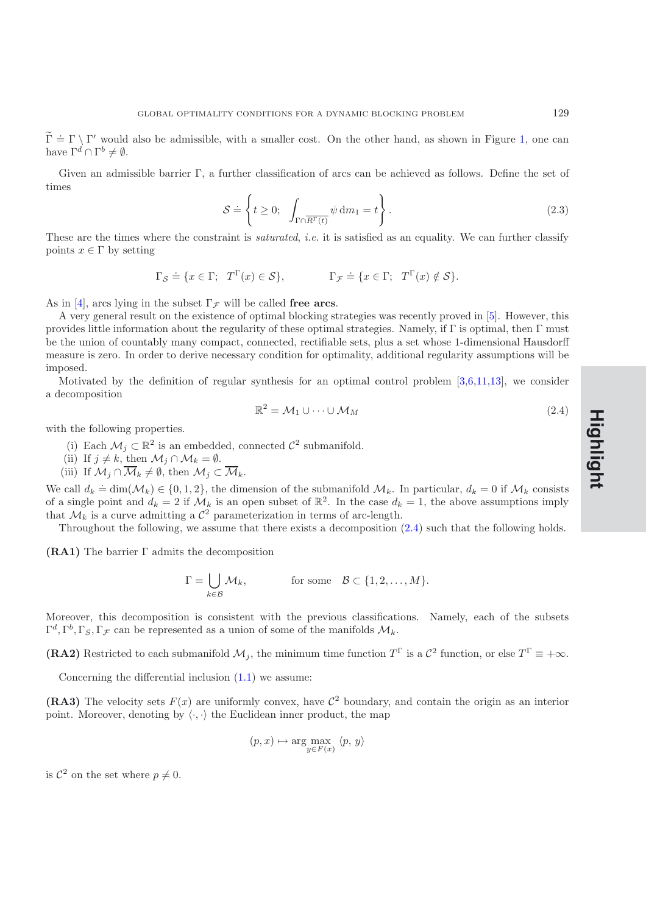$\widetilde{\Gamma} = \Gamma \setminus \Gamma'$  would also be admissible, with a smaller cost. On the other hand, as shown in Figure [1,](#page-4-0) one can have  $\Gamma^d \cap \Gamma^b \neq \emptyset$ .

Given an admissible barrier Γ, a further classification of arcs can be achieved as follows. Define the set of times

$$
S \doteq \left\{ t \ge 0; \int_{\Gamma \cap \overline{R^{\Gamma}(t)}} \psi \, dm_1 = t \right\}.
$$
 (2.3)

These are the times where the constraint is *saturated*, *i.e.* it is satisfied as an equality. We can further classify points  $x \in \Gamma$  by setting

$$
\Gamma_{\mathcal{S}} \doteq \{ x \in \Gamma; \ T^{\Gamma}(x) \in \mathcal{S} \}, \qquad \Gamma_{\mathcal{F}} \doteq \{ x \in \Gamma; \ T^{\Gamma}(x) \notin \mathcal{S} \}.
$$

As in [\[4](#page-32-0)], arcs lying in the subset  $\Gamma_{\mathcal{F}}$  will be called free arcs.

A very general result on the existence of optimal blocking strategies was recently proved in [\[5\]](#page-32-1). However, this provides little information about the regularity of these optimal strategies. Namely, if  $\Gamma$  is optimal, then  $\Gamma$  must be the union of countably many compact, connected, rectifiable sets, plus a set whose 1-dimensional Hausdorff measure is zero. In order to derive necessary condition for optimality, additional regularity assumptions will be imposed.

Motivated by the definition of regular synthesis for an optimal control problem [\[3](#page-32-7)[,6](#page-32-8)[,11](#page-32-9)[,13\]](#page-32-10), we consider a decomposition

<span id="page-5-0"></span>
$$
\mathbb{R}^2 = \mathcal{M}_1 \cup \dots \cup \mathcal{M}_M \tag{2.4}
$$

with the following properties.

- (i) Each  $\mathcal{M}_j \subset \mathbb{R}^2$  is an embedded, connected  $\mathcal{C}^2$  submanifold.
- (ii) If  $j \neq k$ , then  $\mathcal{M}_j \cap \mathcal{M}_k = \emptyset$ .
- (iii) If  $\mathcal{M}_j \cap \overline{\mathcal{M}}_k \neq \emptyset$ , then  $\mathcal{M}_j \subset \overline{\mathcal{M}}_k$ .

We call  $d_k \doteq \dim(\mathcal{M}_k) \in \{0,1,2\}$ , the dimension of the submanifold  $\mathcal{M}_k$ . In particular,  $d_k = 0$  if  $\mathcal{M}_k$  consists of a single point and  $d_k = 2$  if  $\mathcal{M}_k$  is an open subset of  $\mathbb{R}^2$ . In the case  $d_k = 1$ , the above assumptions imply that  $\mathcal{M}_k$  is a curve admitting a  $\mathcal{C}^2$  parameterization in terms of arc-length.

Throughout the following, we assume that there exists a decomposition [\(2.4\)](#page-5-0) such that the following holds.

**(RA1)** The barrier Γ admits the decomposition

$$
\Gamma = \bigcup_{k \in \mathcal{B}} \mathcal{M}_k, \quad \text{for some} \quad \mathcal{B} \subset \{1, 2, \dots, M\}.
$$

Moreover, this decomposition is consistent with the previous classifications. Namely, each of the subsets  $\Gamma^d, \Gamma^b, \Gamma_s, \Gamma_\mathcal{F}$  can be represented as a union of some of the manifolds  $\mathcal{M}_k$ .

**(RA2)** Restricted to each submanifold  $\mathcal{M}_j$ , the minimum time function  $T^{\Gamma}$  is a  $\mathcal{C}^2$  function, or else  $T^{\Gamma} \equiv +\infty$ .

Concerning the differential inclusion [\(1.1\)](#page-0-0) we assume:

**(RA3)** The velocity sets  $F(x)$  are uniformly convex, have  $\mathcal{C}^2$  boundary, and contain the origin as an interior point. Moreover, denoting by  $\langle \cdot, \cdot \rangle$  the Euclidean inner product, the map

$$
(p, x) \mapsto \arg\max_{y \in F(x)} \langle p, y \rangle
$$

is  $\mathcal{C}^2$  on the set where  $p \neq 0$ .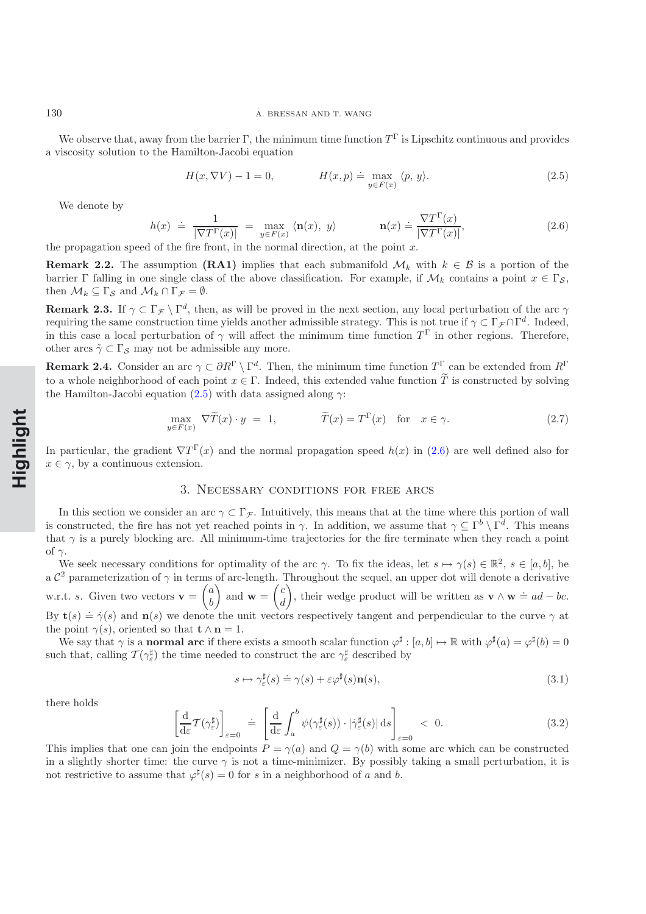#### 130 A. BRESSAN AND T. WANG

We observe that, away from the barrier Γ, the minimum time function  $T^{\Gamma}$  is Lipschitz continuous and provides a viscosity solution to the Hamilton-Jacobi equation

$$
H(x, \nabla V) - 1 = 0, \qquad H(x, p) \doteq \max_{y \in F(x)} \langle p, y \rangle.
$$
 (2.5)

<span id="page-6-1"></span><span id="page-6-0"></span>We denote by

$$
h(x) \doteq \frac{1}{|\nabla T^{\Gamma}(x)|} = \max_{y \in F(x)} \langle \mathbf{n}(x), y \rangle \qquad \mathbf{n}(x) \doteq \frac{\nabla T^{\Gamma}(x)}{|\nabla T^{\Gamma}(x)|}, \qquad (2.6)
$$

the propagation speed of the fire front, in the normal direction, at the point  $x$ .

**Remark 2.2.** The assumption **(RA1)** implies that each submanifold  $\mathcal{M}_k$  with  $k \in \mathcal{B}$  is a portion of the barrier Γ falling in one single class of the above classification. For example, if  $\mathcal{M}_k$  contains a point  $x \in \Gamma_{\mathcal{S}}$ , then  $\mathcal{M}_k \subseteq \Gamma_{\mathcal{S}}$  and  $\mathcal{M}_k \cap \Gamma_{\mathcal{F}} = \emptyset$ .

**Remark 2.3.** If  $\gamma \subset \Gamma_{\mathcal{F}} \setminus \Gamma^d$ , then, as will be proved in the next section, any local perturbation of the arc  $\gamma$ requiring the same construction time yields another admissible strategy. This is not true if  $\gamma \subset \Gamma_{\mathcal{F}} \cap \Gamma^d$ . Indeed, in this case a local perturbation of  $\gamma$  will affect the minimum time function  $T^{\Gamma}$  in other regions. Therefore, other arcs  $\tilde{\gamma} \subset \Gamma_{\mathcal{S}}$  may not be admissible any more.

**Remark 2.4.** Consider an arc  $\gamma \subset \partial R^{\Gamma} \setminus \Gamma^d$ . Then, the minimum time function  $T^{\Gamma}$  can be extended from  $R^{\Gamma}$ to a whole neighborhood of each point  $x \in \Gamma$ . Indeed, this extended value function  $\widetilde{T}$  is constructed by solving the Hamilton-Jacobi equation [\(2.5\)](#page-6-0) with data assigned along  $\gamma$ :

$$
\max_{y \in F(x)} \nabla \tilde{T}(x) \cdot y = 1, \qquad \qquad \tilde{T}(x) = T^{\Gamma}(x) \quad \text{for} \quad x \in \gamma. \tag{2.7}
$$

In particular, the gradient  $\nabla T^{\Gamma}(x)$  and the normal propagation speed  $h(x)$  in [\(2.6\)](#page-6-1) are well defined also for  $x \in \gamma$ , by a continuous extension.

#### 3. Necessary conditions for free arcs

In this section we consider an arc  $\gamma \subset \Gamma_{\mathcal{F}}$ . Intuitively, this means that at the time where this portion of wall is constructed, the fire has not yet reached points in  $\gamma$ . In addition, we assume that  $\gamma \subseteq \Gamma^b \setminus \Gamma^d$ . This means that  $\gamma$  is a purely blocking arc. All minimum-time trajectories for the fire terminate when they reach a point of  $\gamma$ .

We seek necessary conditions for optimality of the arc  $\gamma$ . To fix the ideas, let  $s \mapsto \gamma(s) \in \mathbb{R}^2$ ,  $s \in [a, b]$ , be a  $\mathcal{C}^2$  parameterization of  $\gamma$  in terms of arc-length. Throughout the sequel, an upper dot will denote a derivative w.r.t. *s*. Given two vectors  $\mathbf{v} = \begin{pmatrix} a \\ b \end{pmatrix}$ b ) and  $\mathbf{w} = \begin{pmatrix} c \\ d \end{pmatrix}$ d ), their wedge product will be written as  $\mathbf{v} \wedge \mathbf{w} \doteq ad - bc$ . By **t**(s)  $\Rightarrow \dot{\gamma}(s)$  and **n**(s) we denote the unit vectors respectively tangent and perpendicular to the curve  $\gamma$  at the point  $\gamma(s)$ , oriented so that **t**  $\wedge$  **n** = 1.

We say that  $\gamma$  is a **normal arc** if there exists a smooth scalar function  $\varphi^{\sharp} : [a, b] \mapsto \mathbb{R}$  with  $\varphi^{\sharp}(a) = \varphi^{\sharp}(b) = 0$ such that, calling  $\mathcal{T}(\gamma_{\varepsilon}^{\sharp})$  the time needed to construct the arc  $\gamma_{\varepsilon}^{\sharp}$  described by

$$
s \mapsto \gamma_{\varepsilon}^{\sharp}(s) \doteq \gamma(s) + \varepsilon \varphi^{\sharp}(s) \mathbf{n}(s), \tag{3.1}
$$

<span id="page-6-2"></span>there holds

<span id="page-6-3"></span>
$$
\left[\frac{\mathrm{d}}{\mathrm{d}\varepsilon}\mathcal{T}(\gamma_{\varepsilon}^{\sharp})\right]_{\varepsilon=0} \doteq \left[\frac{\mathrm{d}}{\mathrm{d}\varepsilon}\int_{a}^{b} \psi(\gamma_{\varepsilon}^{\sharp}(s)) \cdot |\dot{\gamma}_{\varepsilon}^{\sharp}(s)| \,\mathrm{d}s\right]_{\varepsilon=0} < 0. \tag{3.2}
$$

This implies that one can join the endpoints  $P = \gamma(a)$  and  $Q = \gamma(b)$  with some arc which can be constructed in a slightly shorter time: the curve  $\gamma$  is not a time-minimizer. By possibly taking a small perturbation, it is not restrictive to assume that  $\varphi^{\sharp}(s) = 0$  for s in a neighborhood of a and b.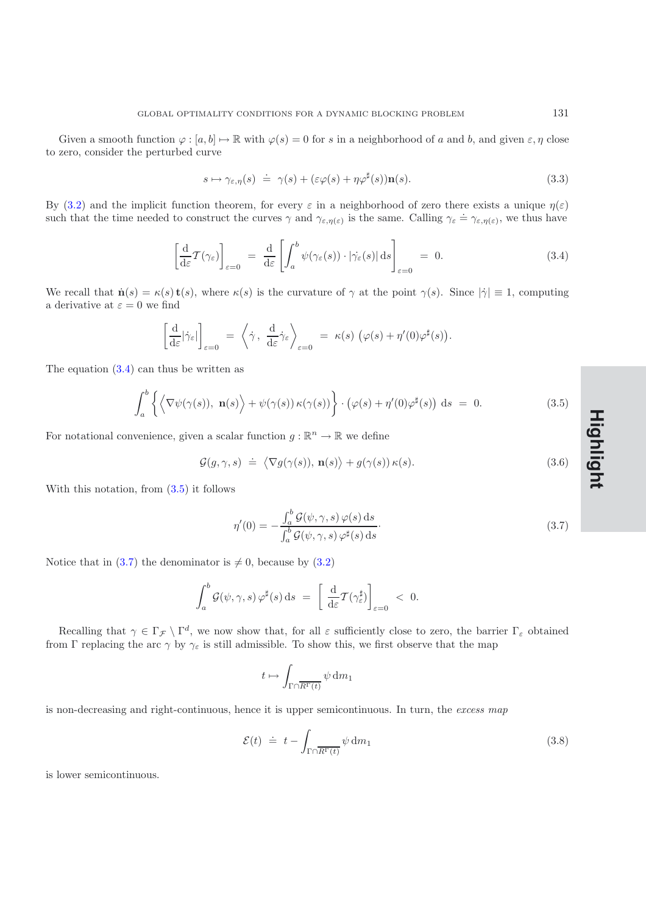Given a smooth function  $\varphi : [a, b] \mapsto \mathbb{R}$  with  $\varphi(s) = 0$  for s in a neighborhood of a and b, and given  $\varepsilon, \eta$  close to zero, consider the perturbed curve

<span id="page-7-3"></span>
$$
s \mapsto \gamma_{\varepsilon,\eta}(s) \doteq \gamma(s) + (\varepsilon \varphi(s) + \eta \varphi^{\sharp}(s)) \mathbf{n}(s). \tag{3.3}
$$

By [\(3.2\)](#page-6-2) and the implicit function theorem, for every  $\varepsilon$  in a neighborhood of zero there exists a unique  $\eta(\varepsilon)$  $\Sigma_j$  (0.2) and the implicit function theorem, for every c in a neighborhood of zero there exists a ainque  $\eta(z)$  such that the time needed to construct the curves  $\gamma$  and  $\gamma_{\varepsilon,\eta(\varepsilon)}$  is the same. Calling  $\gamma_{\varepsilon}$ 

$$
\left[\frac{\mathrm{d}}{\mathrm{d}\varepsilon}\mathcal{T}(\gamma_{\varepsilon})\right]_{\varepsilon=0} = \frac{\mathrm{d}}{\mathrm{d}\varepsilon}\left[\int_{a}^{b} \psi(\gamma_{\varepsilon}(s)) \cdot |\dot{\gamma}_{\varepsilon}(s)| \,\mathrm{d}s\right]_{\varepsilon=0} = 0. \tag{3.4}
$$

<span id="page-7-0"></span>We recall that  $\mathbf{n}(s) = \kappa(s) \mathbf{t}(s)$ , where  $\kappa(s)$  is the curvature of  $\gamma$  at the point  $\gamma(s)$ . Since  $|\dot{\gamma}| \equiv 1$ , computing a derivative at  $\varepsilon = 0$  we find

$$
\left[\frac{\mathrm{d}}{\mathrm{d}\varepsilon}|\dot{\gamma}_{\varepsilon}|\right]_{\varepsilon=0} = \left\langle \dot{\gamma}, \frac{\mathrm{d}}{\mathrm{d}\varepsilon}\dot{\gamma}_{\varepsilon}\right\rangle_{\varepsilon=0} = \kappa(s) \left(\varphi(s) + \eta'(0)\varphi^{\sharp}(s)\right).
$$

The equation  $(3.4)$  can thus be written as

$$
\int_{a}^{b} \left\{ \left\langle \nabla \psi(\gamma(s)), \mathbf{n}(s) \right\rangle + \psi(\gamma(s)) \kappa(\gamma(s)) \right\} \cdot \left( \varphi(s) + \eta'(0) \varphi^{\sharp}(s) \right) ds = 0.
$$
 (3.5)

<span id="page-7-1"></span>For notational convenience, given a scalar function  $g : \mathbb{R}^n \to \mathbb{R}$  we define

$$
\mathcal{G}(g,\gamma,s) \doteq \langle \nabla g(\gamma(s)), \mathbf{n}(s) \rangle + g(\gamma(s)) \kappa(s). \tag{3.6}
$$

With this notation, from [\(3.5\)](#page-7-1) it follows

$$
\eta'(0) = -\frac{\int_a^b \mathcal{G}(\psi, \gamma, s) \varphi(s) \, ds}{\int_a^b \mathcal{G}(\psi, \gamma, s) \varphi^\sharp(s) \, ds}.
$$
\n(3.7)

Notice that in [\(3.7\)](#page-7-2) the denominator is  $\neq$  0, because by [\(3.2\)](#page-6-2)

<span id="page-7-2"></span>
$$
\int_a^b \mathcal{G}(\psi, \gamma, s) \, \varphi^{\sharp}(s) \, \mathrm{d}s \ = \ \left[ \frac{\mathrm{d}}{\mathrm{d}\varepsilon} \mathcal{T}(\gamma_{\varepsilon}^{\sharp}) \right]_{\varepsilon=0} \ < \ 0.
$$

Recalling that  $\gamma \in \Gamma_{\mathcal{F}} \setminus \Gamma^d$ , we now show that, for all  $\varepsilon$  sufficiently close to zero, the barrier  $\Gamma_{\varepsilon}$  obtained from Γ replacing the arc  $\gamma$  by  $\gamma_{\varepsilon}$  is still admissible. To show this, we first observe that the map

$$
t\mapsto \int_{\Gamma\cap \overline{R^\Gamma(t)}} \psi\, {\rm d} m_1
$$

is non-decreasing and right-continuous, hence it is upper semicontinuous. In turn, the *excess map*

<span id="page-7-4"></span>
$$
\mathcal{E}(t) \doteq t - \int_{\Gamma \cap \overline{R^{\Gamma}(t)}} \psi \, \mathrm{d}m_1 \tag{3.8}
$$

is lower semicontinuous.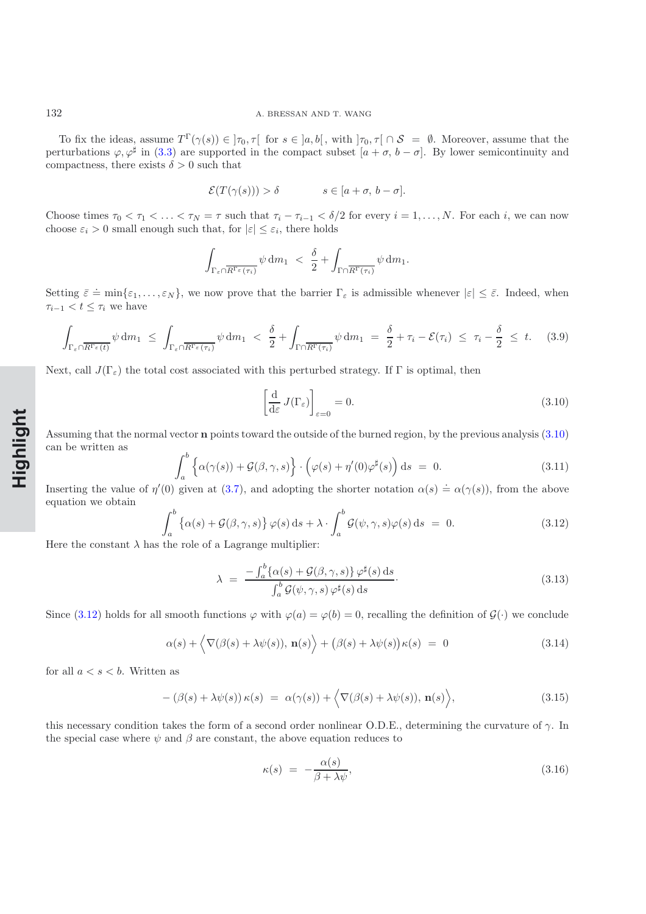To fix the ideas, assume  $T^{\Gamma}(\gamma(s)) \in \mathcal{F}_{0}, \tau[$  for  $s \in [a, b]$ , with  $\mathcal{F}_{0}, \tau[ \cap S = \emptyset]$ . Moreover, assume that the perturbations  $\varphi, \varphi^{\sharp}$  in [\(3.3\)](#page-7-3) are supported in the compact subset  $[a + \sigma, b - \sigma]$ . By lower semicontinuity and compactness, there exists  $\delta > 0$  such that

$$
\mathcal{E}(T(\gamma(s))) > \delta \qquad s \in [a + \sigma, \, b - \sigma].
$$

Choose times  $\tau_0 < \tau_1 < \ldots < \tau_N = \tau$  such that  $\tau_i - \tau_{i-1} < \delta/2$  for every  $i = 1, \ldots, N$ . For each i, we can now choose  $\varepsilon_i > 0$  small enough such that, for  $|\varepsilon| \leq \varepsilon_i$ , there holds

$$
\int_{\Gamma_{\varepsilon} \cap \overline{R^{\Gamma_{\varepsilon}}(\tau_i)}} \psi \, \mathrm{d} m_1 \ \leq \ \frac{\delta}{2} + \int_{\Gamma \cap \overline{R^{\Gamma}(\tau_i)}} \psi \, \mathrm{d} m_1.
$$

Setting  $\bar{\varepsilon} = \min{\{\varepsilon_1,\ldots,\varepsilon_N\}}$ , we now prove that the barrier  $\Gamma_{\varepsilon}$  is admissible whenever  $|\varepsilon| \leq \bar{\varepsilon}$ . Indeed, when  $\tau_{i-1} < t \leq \tau_i$  we have

$$
\int_{\Gamma_{\varepsilon} \cap \overline{R^{\Gamma_{\varepsilon}}(t)}} \psi \, dm_1 \leq \int_{\Gamma_{\varepsilon} \cap \overline{R^{\Gamma_{\varepsilon}}(\tau_i)}} \psi \, dm_1 < \frac{\delta}{2} + \int_{\Gamma \cap \overline{R^{\Gamma}(\tau_i)}} \psi \, dm_1 = \frac{\delta}{2} + \tau_i - \mathcal{E}(\tau_i) \leq \tau_i - \frac{\delta}{2} \leq t. \tag{3.9}
$$

<span id="page-8-6"></span>Next, call  $J(\Gamma_{\varepsilon})$  the total cost associated with this perturbed strategy. If  $\Gamma$  is optimal, then

$$
\left[\frac{\mathrm{d}}{\mathrm{d}\varepsilon}J(\Gamma_{\varepsilon})\right]_{\varepsilon=0}=0.\tag{3.10}
$$

Assuming that the normal vector **n** points toward the outside of the burned region, by the previous analysis [\(3.10\)](#page-8-0) can be written as

<span id="page-8-0"></span>
$$
\int_{a}^{b} \left\{ \alpha(\gamma(s)) + \mathcal{G}(\beta, \gamma, s) \right\} \cdot \left( \varphi(s) + \eta'(0)\varphi^{\sharp}(s) \right) ds = 0.
$$
 (3.11)

Inserting the value of  $\eta'(0)$  given at [\(3.7\)](#page-7-2), and adopting the shorter notation  $\alpha(s) \doteq \alpha(\gamma(s))$ , from the above equation we obtain

$$
\int_{a}^{b} \left\{ \alpha(s) + \mathcal{G}(\beta, \gamma, s) \right\} \varphi(s) \, ds + \lambda \cdot \int_{a}^{b} \mathcal{G}(\psi, \gamma, s) \varphi(s) \, ds = 0. \tag{3.12}
$$

<span id="page-8-1"></span>Here the constant  $\lambda$  has the role of a Lagrange multiplier:

$$
\lambda = \frac{-\int_{a}^{b} \{\alpha(s) + \mathcal{G}(\beta, \gamma, s)\} \varphi^{\sharp}(s) ds}{\int_{a}^{b} \mathcal{G}(\psi, \gamma, s) \varphi^{\sharp}(s) ds}.
$$
\n(3.13)

Since [\(3.12\)](#page-8-1) holds for all smooth functions  $\varphi$  with  $\varphi(a) = \varphi(b) = 0$ , recalling the definition of  $\mathcal{G}(\cdot)$  we conclude

<span id="page-8-2"></span>
$$
\alpha(s) + \langle \nabla(\beta(s) + \lambda \psi(s)), \mathbf{n}(s) \rangle + (\beta(s) + \lambda \psi(s))\kappa(s) = 0
$$
\n(3.14)

<span id="page-8-5"></span><span id="page-8-4"></span>for all  $a < s < b$ . Written as

$$
-(\beta(s) + \lambda \psi(s)) \kappa(s) = \alpha(\gamma(s)) + \langle \nabla(\beta(s) + \lambda \psi(s)), \mathbf{n}(s) \rangle,
$$
\n(3.15)

this necessary condition takes the form of a second order nonlinear O.D.E., determining the curvature of  $\gamma$ . In the special case where  $\psi$  and  $\beta$  are constant, the above equation reduces to

<span id="page-8-3"></span>
$$
\kappa(s) = -\frac{\alpha(s)}{\beta + \lambda \psi},\tag{3.16}
$$

**Rapide NotHighlight**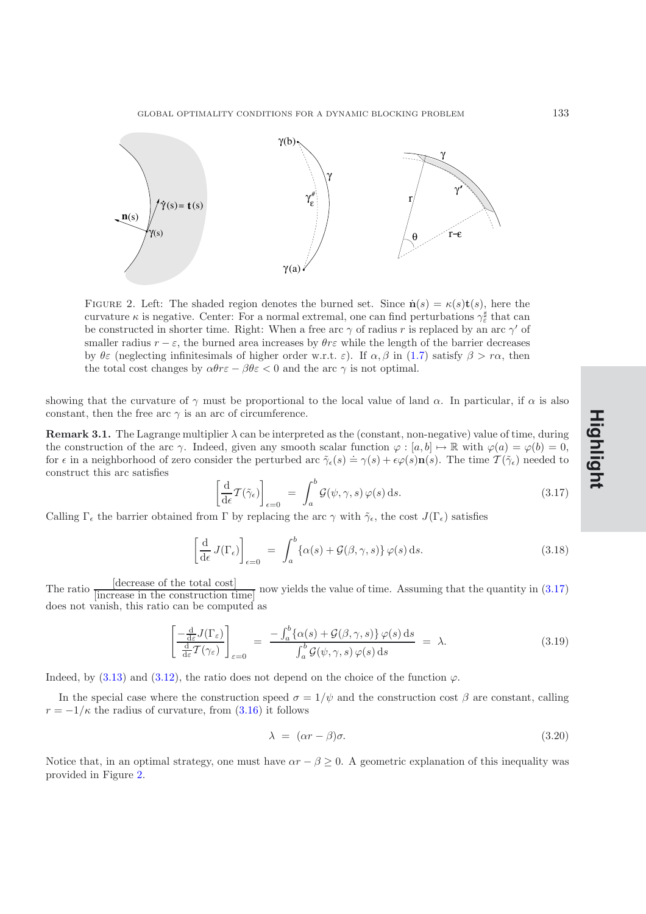

<span id="page-9-1"></span>FIGURE 2. Left: The shaded region denotes the burned set. Since  $\mathbf{n}(s) = \kappa(s)\mathbf{t}(s)$ , here the curvature  $\kappa$  is negative. Center: For a normal extremal, one can find perturbations  $\gamma_{\varepsilon}^{\sharp}$  that can be constructed in shorter time. Right: When a free arc  $\gamma$  of radius r is replaced by an arc  $\gamma'$  of smaller radius  $r - \varepsilon$ , the burned area increases by  $\theta r \varepsilon$  while the length of the barrier decreases by  $\theta \varepsilon$  (neglecting infinitesimals of higher order w.r.t.  $\varepsilon$ ). If  $\alpha, \beta$  in [\(1.7\)](#page-1-1) satisfy  $\beta > r\alpha$ , then the total cost changes by  $\alpha \theta r \epsilon - \beta \theta \epsilon < 0$  and the arc  $\gamma$  is not optimal.

showing that the curvature of  $\gamma$  must be proportional to the local value of land  $\alpha$ . In particular, if  $\alpha$  is also constant, then the free arc  $\gamma$  is an arc of circumference.

**Remark 3.1.** The Lagrange multiplier  $\lambda$  can be interpreted as the (constant, non-negative) value of time, during the construction of the arc  $\gamma$ . Indeed, given any smooth scalar function  $\varphi : [a, b] \mapsto \mathbb{R}$  with  $\varphi(a) = \varphi(b) = 0$ , for  $\epsilon$  in a neighborhood of zero consider the perturbed arc  $\tilde{\gamma}_{\epsilon}(s) \doteq \gamma(s) + \epsilon \varphi(s) \mathbf{n}(s)$ . The time  $\mathcal{T}(\tilde{\gamma}_{\epsilon})$  needed to construct this arc satisfies

$$
\left[\frac{\mathrm{d}}{\mathrm{d}\epsilon}\mathcal{T}(\tilde{\gamma}_{\epsilon})\right]_{\epsilon=0} = \int_{a}^{b} \mathcal{G}(\psi,\gamma,s)\,\varphi(s)\,\mathrm{d}s. \tag{3.17}
$$

Calling  $\Gamma_{\epsilon}$  the barrier obtained from  $\Gamma$  by replacing the arc  $\gamma$  with  $\tilde{\gamma}_{\epsilon}$ , the cost  $J(\Gamma_{\epsilon})$  satisfies

<span id="page-9-0"></span>
$$
\left[\frac{\mathrm{d}}{\mathrm{d}\epsilon}J(\Gamma_{\epsilon})\right]_{\epsilon=0} = \int_{a}^{b} \{\alpha(s) + \mathcal{G}(\beta,\gamma,s)\} \varphi(s) \,\mathrm{d}s. \tag{3.18}
$$

The ratio  $\frac{\text{decrease of the total cost}}{\text{increase in the construction time}}$  now yields the value of time. Assuming that the quantity in [\(3.17\)](#page-9-0) does not vanish, this ratio can be computed as

$$
\left[\frac{-\frac{d}{d\varepsilon}J(\Gamma_{\varepsilon})}{\frac{d}{d\varepsilon}\mathcal{T}(\gamma_{\varepsilon})}\right]_{\varepsilon=0} = \frac{-\int_a^b \{\alpha(s) + \mathcal{G}(\beta,\gamma,s)\} \,\varphi(s) \,\mathrm{d}s}{\int_a^b \mathcal{G}(\psi,\gamma,s) \,\varphi(s) \,\mathrm{d}s} = \lambda. \tag{3.19}
$$

<span id="page-9-2"></span>Indeed, by [\(3.13\)](#page-8-2) and [\(3.12\)](#page-8-1), the ratio does not depend on the choice of the function  $\varphi$ .

In the special case where the construction speed  $\sigma = 1/\psi$  and the construction cost  $\beta$  are constant, calling  $r = -1/\kappa$  the radius of curvature, from [\(3.16\)](#page-8-3) it follows

<span id="page-9-3"></span>
$$
\lambda = (\alpha r - \beta)\sigma. \tag{3.20}
$$

Notice that, in an optimal strategy, one must have  $\alpha r - \beta \geq 0$ . A geometric explanation of this inequality was provided in Figure [2.](#page-9-1)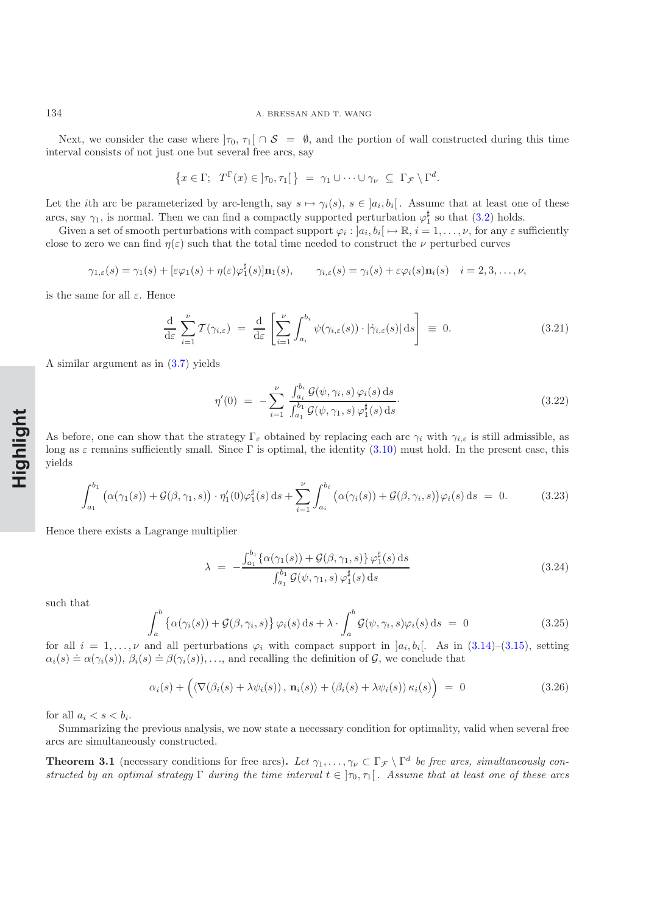Next, we consider the case where  $|\tau_0, \tau_1| \cap S = \emptyset$ , and the portion of wall constructed during this time interval consists of not just one but several free arcs, say

$$
\{x \in \Gamma; T^{\Gamma}(x) \in ]\tau_0, \tau_1[\} = \gamma_1 \cup \cdots \cup \gamma_{\nu} \subseteq \Gamma_{\mathcal{F}} \setminus \Gamma^d.
$$

Let the *i*th arc be parameterized by arc-length, say  $s \mapsto \gamma_i(s)$ ,  $s \in [a_i, b_i]$ . Assume that at least one of these arcs, say  $\gamma_1$ , is normal. Then we can find a compactly supported perturbation  $\varphi_1^{\sharp}$  so that [\(3.2\)](#page-6-2) holds.

Given a set of smooth perturbations with compact support  $\varphi_i : [a_i, b_i] \mapsto \mathbb{R}, i = 1, \ldots, \nu$ , for any  $\varepsilon$  sufficiently close to zero we can find  $\eta(\varepsilon)$  such that the total time needed to construct the  $\nu$  perturbed curves

$$
\gamma_{1,\varepsilon}(s) = \gamma_1(s) + [\varepsilon \varphi_1(s) + \eta(\varepsilon)\varphi_1^{\sharp}(s)]\mathbf{n}_1(s), \qquad \gamma_{i,\varepsilon}(s) = \gamma_i(s) + \varepsilon \varphi_i(s)\mathbf{n}_i(s) \quad i = 2, 3, \dots, \nu,
$$

is the same for all  $\varepsilon$ . Hence

$$
\frac{\mathrm{d}}{\mathrm{d}\varepsilon} \sum_{i=1}^{\nu} \mathcal{T}(\gamma_{i,\varepsilon}) = \frac{\mathrm{d}}{\mathrm{d}\varepsilon} \left[ \sum_{i=1}^{\nu} \int_{a_i}^{b_i} \psi(\gamma_{i,\varepsilon}(s)) \cdot |\dot{\gamma}_{i,\varepsilon}(s)| \, \mathrm{d}s \right] \equiv 0. \tag{3.21}
$$

A similar argument as in [\(3.7\)](#page-7-2) yields

$$
\eta'(0) = -\sum_{i=1}^{\nu} \frac{\int_{a_i}^{b_i} \mathcal{G}(\psi, \gamma_i, s) \varphi_i(s) ds}{\int_{a_1}^{b_1} \mathcal{G}(\psi, \gamma_1, s) \varphi_1^{\sharp}(s) ds}.
$$
\n(3.22)

As before, one can show that the strategy  $\Gamma_{\varepsilon}$  obtained by replacing each arc  $\gamma_i$  with  $\gamma_{i,\varepsilon}$  is still admissible, as long as  $\varepsilon$  remains sufficiently small. Since Γ is optimal, the identity [\(3.10\)](#page-8-0) must hold. In the present case, this yields

$$
\int_{a_1}^{b_1} \left( \alpha(\gamma_1(s)) + \mathcal{G}(\beta, \gamma_1, s) \right) \cdot \eta_1'(0) \varphi_1^{\sharp}(s) \, \mathrm{d}s + \sum_{i=1}^{\nu} \int_{a_i}^{b_i} \left( \alpha(\gamma_i(s)) + \mathcal{G}(\beta, \gamma_i, s) \right) \varphi_i(s) \, \mathrm{d}s = 0. \tag{3.23}
$$

Hence there exists a Lagrange multiplier

$$
\lambda = -\frac{\int_{a_1}^{b_1} {\{\alpha(\gamma_1(s)) + \mathcal{G}(\beta, \gamma_1, s) \} } \varphi_1^{\sharp}(s) ds}{\int_{a_1}^{b_1} \mathcal{G}(\psi, \gamma_1, s) \varphi_1^{\sharp}(s) ds}
$$
(3.24)

such that

$$
\int_{a}^{b} \left\{ \alpha(\gamma_i(s)) + \mathcal{G}(\beta, \gamma_i, s) \right\} \varphi_i(s) \, \mathrm{d}s + \lambda \cdot \int_{a}^{b} \mathcal{G}(\psi, \gamma_i, s) \varphi_i(s) \, \mathrm{d}s = 0 \tag{3.25}
$$

for all  $i = 1, \ldots, \nu$  and all perturbations  $\varphi_i$  with compact support in  $]a_i, b_i[$ . As in  $(3.14)$ – $(3.15)$ , setting  $\alpha_i(s) \doteq \alpha(\gamma_i(s)), \beta_i(s) \doteq \beta(\gamma_i(s)), \dots$ , and recalling the definition of G, we conclude that

$$
\alpha_i(s) + \left( \langle \nabla(\beta_i(s) + \lambda \psi_i(s)), \mathbf{n}_i(s) \rangle + (\beta_i(s) + \lambda \psi_i(s)) \kappa_i(s) \right) = 0 \tag{3.26}
$$

for all  $a_i < s < b_i$ .

Summarizing the previous analysis, we now state a necessary condition for optimality, valid when several free arcs are simultaneously constructed.

**Theorem 3.1** (necessary conditions for free arcs). Let  $\gamma_1, \ldots, \gamma_\nu \subset \Gamma_{\mathcal{F}} \setminus \Gamma^d$  be free arcs, simultaneously con*structed by an optimal strategy*  $\Gamma$  *during the time interval*  $t \in ]\tau_0, \tau_1[$ *. Assume that at least one of these arcs*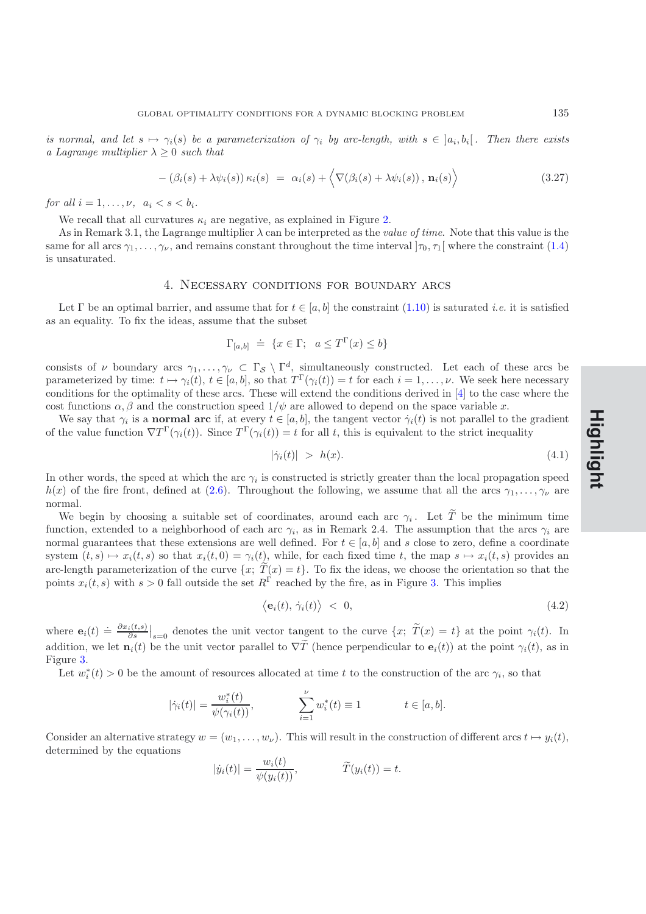*is normal, and let*  $s \mapsto \gamma_i(s)$  *be a parameterization of*  $\gamma_i$  *by arc-length, with*  $s \in [a_i, b_i]$ . Then there exists *a Lagrange multiplier*  $\lambda \geq 0$  *such that* 

$$
- (\beta_i(s) + \lambda \psi_i(s)) \kappa_i(s) = \alpha_i(s) + \langle \nabla(\beta_i(s) + \lambda \psi_i(s)), \mathbf{n}_i(s) \rangle
$$
\n(3.27)

*for all*  $i = 1, \ldots, \nu, \quad a_i < s < b_i$ .

We recall that all curvatures  $\kappa_i$  are negative, as explained in Figure [2.](#page-9-1)

As in Remark 3.1, the Lagrange multiplier λ can be interpreted as the *value of time*. Note that this value is the same for all arcs  $\gamma_1,\ldots,\gamma_\nu$ , and remains constant throughout the time interval  $]\tau_0,\tau_1[$  where the constraint [\(1.4\)](#page-1-0) is unsaturated.

#### 4. Necessary conditions for boundary arcs

Let  $\Gamma$  be an optimal barrier, and assume that for  $t \in [a, b]$  the constraint  $(1.10)$  is saturated *i.e.* it is satisfied as an equality. To fix the ideas, assume that the subset

$$
\Gamma_{[a,b]} \doteq \{ x \in \Gamma; \ a \le T^{\Gamma}(x) \le b \}
$$

consists of  $\nu$  boundary arcs  $\gamma_1,\ldots,\gamma_\nu \subset \Gamma_{\mathcal{S}} \setminus \Gamma^d$ , simultaneously constructed. Let each of these arcs be parameterized by time:  $t \mapsto \gamma_i(t)$ ,  $t \in [a, b]$ , so that  $T^{\Gamma}(\gamma_i(t)) = t$  for each  $i = 1, \ldots, \nu$ . We seek here necessary conditions for the optimality of these arcs. These will extend the conditions derived in [\[4](#page-32-0)] to the case where the cost functions  $\alpha$ ,  $\beta$  and the construction speed  $1/\psi$  are allowed to depend on the space variable x.

We say that  $\gamma_i$  is a **normal arc** if, at every  $t \in [a, b]$ , the tangent vector  $\dot{\gamma}_i(t)$  is not parallel to the gradient of the value function  $\nabla T^{\Gamma}(\gamma_i(t))$ . Since  $T^{\Gamma}(\gamma_i(t)) = t$  for all t, this is equivalent to the strict inequality

<span id="page-11-0"></span>
$$
|\dot{\gamma}_i(t)| \, > \, h(x). \tag{4.1}
$$

In other words, the speed at which the arc  $\gamma_i$  is constructed is strictly greater than the local propagation speed  $h(x)$  of the fire front, defined at [\(2.6\)](#page-6-1). Throughout the following, we assume that all the arcs  $\gamma_1,\ldots,\gamma_\nu$  are normal.

We begin by choosing a suitable set of coordinates, around each arc  $\gamma_i$ . Let  $\widetilde{T}$  be the minimum time function, extended to a neighborhood of each arc  $\gamma_i$ , as in Remark 2.4. The assumption that the arcs  $\gamma_i$  are normal guarantees that these extensions are well defined. For  $t \in [a, b]$  and s close to zero, define a coordinate system  $(t, s) \mapsto x_i(t, s)$  so that  $x_i(t, 0) = \gamma_i(t)$ , while, for each fixed time t, the map  $s \mapsto x_i(t, s)$  provides an arc-length parameterization of the curve  $\{x; T(x) = t\}$ . To fix the ideas, we choose the orientation so that the points  $x_i(t, s)$  with  $s > 0$  fall outside the set  $R^{\Gamma}$  reached by the fire, as in Figure [3.](#page-12-0) This implies

$$
\langle \mathbf{e}_i(t), \dot{\gamma}_i(t) \rangle \; < \; 0,\tag{4.2}
$$

where  $\mathbf{e}_i(t) \doteq \frac{\partial x_i(t,s)}{\partial s}\Big|_{s=0}$  denotes the unit vector tangent to the curve  $\{x; \ \widetilde{T}(x) = t\}$  at the point  $\gamma_i(t)$ . In addition, we let  $\mathbf{n}_i(t)$  be the unit vector parallel to  $\nabla \tilde{T}$  (hence perpendicular to  $\mathbf{e}_i(t)$ ) at the point  $\gamma_i(t)$ , as in Figure [3.](#page-12-0)

Let  $w_i^*(t) > 0$  be the amount of resources allocated at time t to the construction of the arc  $\gamma_i$ , so that

$$
|\dot{\gamma}_i(t)| = \frac{w_i^*(t)}{\psi(\gamma_i(t))}, \qquad \sum_{i=1}^{\nu} w_i^*(t) \equiv 1 \qquad t \in [a, b].
$$

Consider an alternative strategy  $w = (w_1, \ldots, w_\nu)$ . This will result in the construction of different arcs  $t \mapsto y_i(t)$ , determined by the equations

$$
|\dot{y}_i(t)| = \frac{w_i(t)}{\psi(y_i(t))}, \qquad \widetilde{T}(y_i(t)) = t.
$$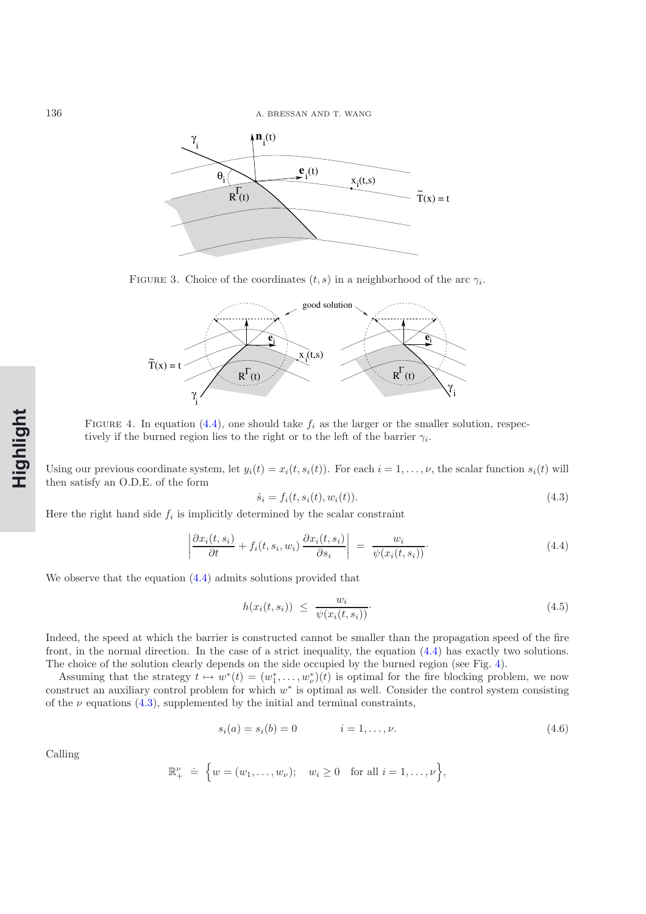136 A. BRESSAN AND T. WANG



<span id="page-12-0"></span>FIGURE 3. Choice of the coordinates  $(t, s)$  in a neighborhood of the arc  $\gamma_i$ .



<span id="page-12-2"></span>FIGURE 4. In equation [\(4.4\)](#page-12-1), one should take  $f_i$  as the larger or the smaller solution, respectively if the burned region lies to the right or to the left of the barrier  $\gamma_i$ .

Using our previous coordinate system, let  $y_i(t) = x_i(t, s_i(t))$ . For each  $i = 1, \ldots, \nu$ , the scalar function  $s_i(t)$  will then satisfy an O.D.E. of the form

$$
\dot{s}_i = f_i(t, s_i(t), w_i(t)).
$$
\n(4.3)

<span id="page-12-1"></span>Here the right hand side  $f_i$  is implicitly determined by the scalar constraint

<span id="page-12-3"></span>
$$
\left| \frac{\partial x_i(t, s_i)}{\partial t} + f_i(t, s_i, w_i) \frac{\partial x_i(t, s_i)}{\partial s_i} \right| = \frac{w_i}{\psi(x_i(t, s_i))}.
$$
\n(4.4)

We observe that the equation [\(4.4\)](#page-12-1) admits solutions provided that

$$
h(x_i(t, s_i)) \leq \frac{w_i}{\psi(x_i(t, s_i))}.
$$
\n(4.5)

Indeed, the speed at which the barrier is constructed cannot be smaller than the propagation speed of the fire front, in the normal direction. In the case of a strict inequality, the equation [\(4.4\)](#page-12-1) has exactly two solutions. The choice of the solution clearly depends on the side occupied by the burned region (see Fig. [4\)](#page-12-2).

Assuming that the strategy  $t \mapsto w^*(t) = (w_1^*, \ldots, w_\nu^*)(t)$  is optimal for the fire blocking problem, we now construct an auxiliary control problem for which w<sup>∗</sup> is optimal as well. Consider the control system consisting of the  $\nu$  equations [\(4.3\)](#page-12-3), supplemented by the initial and terminal constraints,

$$
s_i(a) = s_i(b) = 0 \qquad \qquad i = 1, \dots, \nu. \tag{4.6}
$$

Calling

<span id="page-12-4"></span>
$$
\mathbb{R}^{\nu}_{+} \doteq \left\{ w = (w_1, \ldots, w_{\nu}); \quad w_i \ge 0 \quad \text{for all } i = 1, \ldots, \nu \right\},\
$$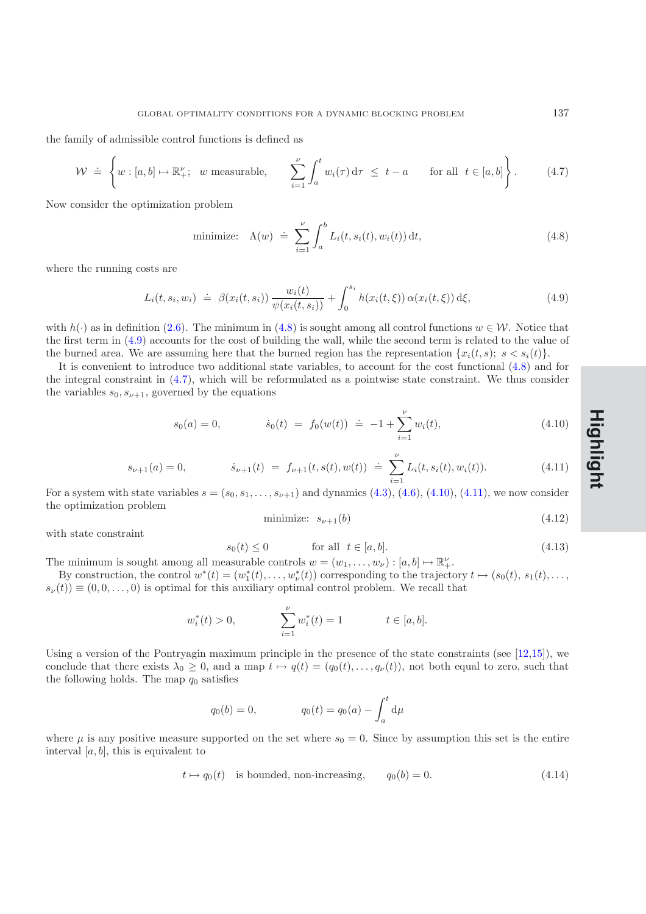GLOBAL OPTIMALITY CONDITIONS FOR A DYNAMIC BLOCKING PROBLEM  $137$ 

<span id="page-13-2"></span>the family of admissible control functions is defined as

$$
\mathcal{W} \doteq \left\{ w : [a, b] \mapsto \mathbb{R}^{\nu}_+; \ \ w \text{ measurable}, \qquad \sum_{i=1}^{\nu} \int_a^t w_i(\tau) d\tau \leq t - a \qquad \text{for all } t \in [a, b] \right\}. \tag{4.7}
$$

Now consider the optimization problem

minimize: 
$$
\Lambda(w) \doteq \sum_{i=1}^{\nu} \int_{a}^{b} L_i(t, s_i(t), w_i(t)) dt,
$$
 (4.8)

<span id="page-13-1"></span>where the running costs are

<span id="page-13-0"></span>
$$
L_i(t, s_i, w_i) \doteq \beta(x_i(t, s_i)) \frac{w_i(t)}{\psi(x_i(t, s_i))} + \int_0^{s_i} h(x_i(t, \xi)) \alpha(x_i(t, \xi)) d\xi,
$$
\n(4.9)

with  $h(\cdot)$  as in definition [\(2.6\)](#page-6-1). The minimum in [\(4.8\)](#page-13-0) is sought among all control functions  $w \in \mathcal{W}$ . Notice that the first term in [\(4.9\)](#page-13-1) accounts for the cost of building the wall, while the second term is related to the value of the burned area. We are assuming here that the burned region has the representation  $\{x_i(t, s): s \leq s_i(t)\}\$ .

It is convenient to introduce two additional state variables, to account for the cost functional [\(4.8\)](#page-13-0) and for the integral constraint in [\(4.7\)](#page-13-2), which will be reformulated as a pointwise state constraint. We thus consider the variables  $s_0, s_{\nu+1}$ , governed by the equations

<sup>s</sup>0(a)=0, <sup>s</sup>˙0(t) = <sup>f</sup>0(w(t)) . <sup>=</sup> <sup>−</sup>1 +\$<sup>ν</sup> i=1 wi(t), (4.10)

<span id="page-13-3"></span>
$$
s_{\nu+1}(a) = 0, \t\t \dot{s}_{\nu+1}(t) = f_{\nu+1}(t, s(t), w(t)) \doteq \sum_{i=1}^{\nu} L_i(t, s_i(t), w_i(t)). \t\t (4.11)
$$

<span id="page-13-4"></span>For a system with state variables  $s = (s_0, s_1, \ldots, s_{\nu+1})$  and dynamics  $(4.3), (4.6), (4.10), (4.11)$  $(4.3), (4.6), (4.10), (4.11)$  $(4.3), (4.6), (4.10), (4.11)$  $(4.3), (4.6), (4.10), (4.11)$  $(4.3), (4.6), (4.10), (4.11)$  $(4.3), (4.6), (4.10), (4.11)$  $(4.3), (4.6), (4.10), (4.11)$ , we now consider the optimization problem

$$
\text{minimize:} \quad s_{\nu+1}(b) \tag{4.12}
$$

with state constraint

$$
s_0(t) \le 0 \qquad \text{for all } t \in [a, b]. \tag{4.13}
$$

The minimum is sought among all measurable controls  $w = (w_1, \ldots, w_{\nu}) : [a, b] \mapsto \mathbb{R}^{\nu}_+$ .

By construction, the control  $w^*(t) = (w_1^*(t), \ldots, w_{\nu}^*(t))$  corresponding to the trajectory  $t \mapsto (s_0(t), s_1(t), \ldots, s_{\nu}^*(t))$  $s_{\nu}(t) \equiv (0, 0, \ldots, 0)$  is optimal for this auxiliary optimal control problem. We recall that

$$
w_i^*(t) > 0,
$$
 
$$
\sum_{i=1}^{\nu} w_i^*(t) = 1 \qquad t \in [a, b].
$$

Using a version of the Pontryagin maximum principle in the presence of the state constraints (see [\[12](#page-32-11)[,15\]](#page-32-12)), we conclude that there exists  $\lambda_0 \geq 0$ , and a map  $t \mapsto q(t)=(q_0(t),\ldots,q_\nu(t))$ , not both equal to zero, such that the following holds. The map  $q_0$  satisfies

$$
q_0(b) = 0,
$$
  $q_0(t) = q_0(a) - \int_a^t d\mu$ 

<span id="page-13-5"></span>where  $\mu$  is any positive measure supported on the set where  $s_0 = 0$ . Since by assumption this set is the entire interval  $[a, b]$ , this is equivalent to

$$
t \mapsto q_0(t) \quad \text{is bounded, non-increasing}, \qquad q_0(b) = 0. \tag{4.14}
$$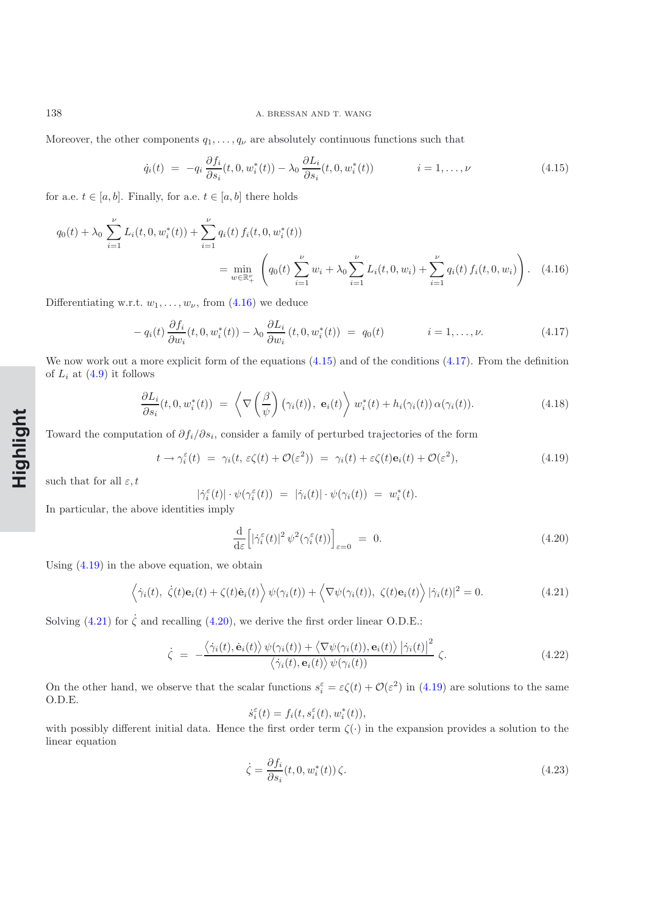#### 138 A. BRESSAN AND T. WANG

<span id="page-14-1"></span>Moreover, the other components  $q_1, \ldots, q_\nu$  are absolutely continuous functions such that

$$
\dot{q}_i(t) = -q_i \frac{\partial f_i}{\partial s_i}(t, 0, w_i^*(t)) - \lambda_0 \frac{\partial L_i}{\partial s_i}(t, 0, w_i^*(t)) \qquad i = 1, \dots, \nu
$$
\n(4.15)

for a.e.  $t \in [a, b]$ . Finally, for a.e.  $t \in [a, b]$  there holds

$$
q_0(t) + \lambda_0 \sum_{i=1}^{\nu} L_i(t, 0, w_i^*(t)) + \sum_{i=1}^{\nu} q_i(t) f_i(t, 0, w_i^*(t))
$$
  
= 
$$
\min_{w \in \mathbb{R}_+^{\nu}} \left( q_0(t) \sum_{i=1}^{\nu} w_i + \lambda_0 \sum_{i=1}^{\nu} L_i(t, 0, w_i) + \sum_{i=1}^{\nu} q_i(t) f_i(t, 0, w_i) \right).
$$
 (4.16)

Differentiating w.r.t.  $w_1, \ldots, w_{\nu}$ , from [\(4.16\)](#page-14-0) we deduce

<span id="page-14-0"></span>
$$
- q_i(t) \frac{\partial f_i}{\partial w_i}(t, 0, w_i^*(t)) - \lambda_0 \frac{\partial L_i}{\partial w_i}(t, 0, w_i^*(t)) = q_0(t) \qquad i = 1, \dots, \nu.
$$
 (4.17)

<span id="page-14-2"></span>We now work out a more explicit form of the equations  $(4.15)$  and of the conditions  $(4.17)$ . From the definition of  $L_i$  at  $(4.9)$  it follows

$$
\frac{\partial L_i}{\partial s_i}(t,0,w_i^*(t)) = \left\langle \nabla \left(\frac{\beta}{\psi}\right)(\gamma_i(t)),\ \mathbf{e}_i(t) \right\rangle w_i^*(t) + h_i(\gamma_i(t))\,\alpha(\gamma_i(t)).\tag{4.18}
$$

<span id="page-14-8"></span>Toward the computation of  $\partial f_i/\partial s_i$ , consider a family of perturbed trajectories of the form

$$
t \to \gamma_i^{\varepsilon}(t) = \gamma_i(t, \varepsilon \zeta(t) + \mathcal{O}(\varepsilon^2)) = \gamma_i(t) + \varepsilon \zeta(t) \mathbf{e}_i(t) + \mathcal{O}(\varepsilon^2), \tag{4.19}
$$

<span id="page-14-3"></span>such that for all  $\varepsilon, t$ 

$$
|\dot{\gamma}_i^{\varepsilon}(t)| \cdot \psi(\gamma_i^{\varepsilon}(t)) = |\dot{\gamma}_i(t)| \cdot \psi(\gamma_i(t)) = w_i^*(t).
$$

In particular, the above identities imply

$$
\frac{\mathrm{d}}{\mathrm{d}\varepsilon} \left[ |\dot{\gamma}_i^{\varepsilon}(t)|^2 \psi^2(\gamma_i^{\varepsilon}(t)) \right]_{\varepsilon=0} = 0. \tag{4.20}
$$

<span id="page-14-4"></span>Using [\(4.19\)](#page-14-3) in the above equation, we obtain

<span id="page-14-5"></span>
$$
\langle \dot{\gamma}_i(t), \dot{\zeta}(t) \mathbf{e}_i(t) + \zeta(t) \dot{\mathbf{e}}_i(t) \rangle \psi(\gamma_i(t)) + \langle \nabla \psi(\gamma_i(t)), \zeta(t) \mathbf{e}_i(t) \rangle |\dot{\gamma}_i(t)|^2 = 0.
$$
 (4.21)

Solving [\(4.21\)](#page-14-4) for  $\dot{\zeta}$  and recalling [\(4.20\)](#page-14-5), we derive the first order linear O.D.E.:

$$
\dot{\zeta} = -\frac{\langle \dot{\gamma}_i(t), \dot{\mathbf{e}}_i(t) \rangle \psi(\gamma_i(t)) + \langle \nabla \psi(\gamma_i(t)), \mathbf{e}_i(t) \rangle |\dot{\gamma}_i(t)|^2}{\langle \dot{\gamma}_i(t), \mathbf{e}_i(t) \rangle \psi(\gamma_i(t))} \zeta.
$$
\n(4.22)

<span id="page-14-6"></span>On the other hand, we observe that the scalar functions  $s_i^{\varepsilon} = \varepsilon \zeta(t) + \mathcal{O}(\varepsilon^2)$  in [\(4.19\)](#page-14-3) are solutions to the same O.D.E.

$$
\dot{s}_i^{\varepsilon}(t) = f_i(t, s_i^{\varepsilon}(t), w_i^*(t)),
$$

with possibly different initial data. Hence the first order term  $\zeta(\cdot)$  in the expansion provides a solution to the linear equation

<span id="page-14-7"></span>
$$
\dot{\zeta} = \frac{\partial f_i}{\partial s_i}(t, 0, w_i^*(t)) \zeta.
$$
\n(4.23)

**Rapide NotHighlight**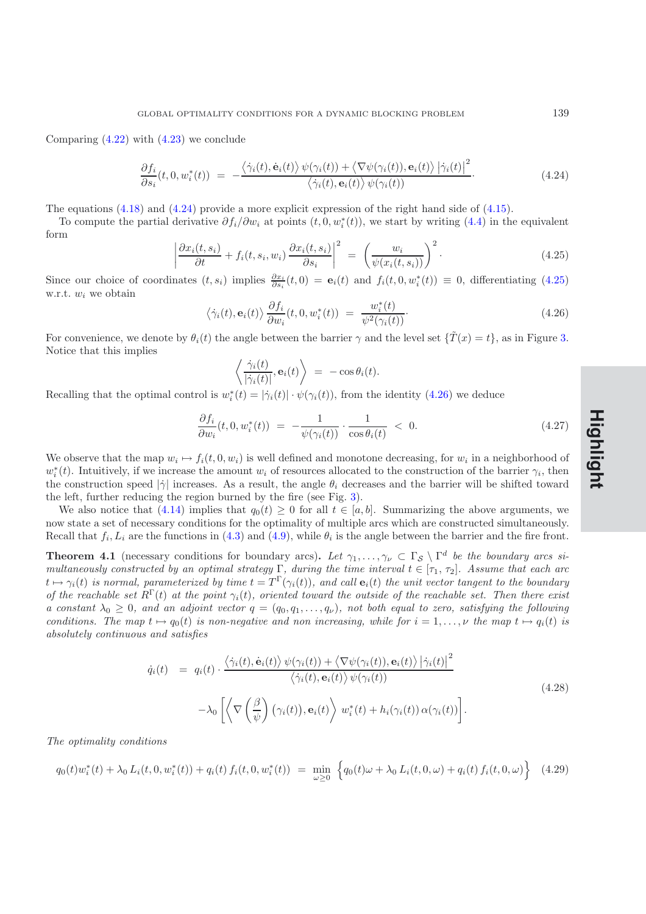<span id="page-15-0"></span>Comparing [\(4.22\)](#page-14-6) with [\(4.23\)](#page-14-7) we conclude

$$
\frac{\partial f_i}{\partial s_i}(t,0,w_i^*(t)) = -\frac{\langle \dot{\gamma}_i(t), \dot{\mathbf{e}}_i(t) \rangle \psi(\gamma_i(t)) + \langle \nabla \psi(\gamma_i(t)), \mathbf{e}_i(t) \rangle |\dot{\gamma}_i(t)|^2}{\langle \dot{\gamma}_i(t), \mathbf{e}_i(t) \rangle \psi(\gamma_i(t))}.
$$
\n(4.24)

The equations [\(4.18\)](#page-14-8) and [\(4.24\)](#page-15-0) provide a more explicit expression of the right hand side of [\(4.15\)](#page-14-1).

To compute the partial derivative  $\partial f_i/\partial w_i$  at points  $(t, 0, w_i^*(t))$ , we start by writing [\(4.4\)](#page-12-1) in the equivalent form

$$
\left| \frac{\partial x_i(t, s_i)}{\partial t} + f_i(t, s_i, w_i) \frac{\partial x_i(t, s_i)}{\partial s_i} \right|^2 = \left( \frac{w_i}{\psi(x_i(t, s_i))} \right)^2.
$$
\n(4.25)

<span id="page-15-1"></span>Since our choice of coordinates  $(t, s_i)$  implies  $\frac{\partial x_i}{\partial s_i}(t, 0) = \mathbf{e}_i(t)$  and  $f_i(t, 0, w_i^*(t)) \equiv 0$ , differentiating [\(4.25\)](#page-15-1) w.r.t.  $w_i$  we obtain

<span id="page-15-2"></span>
$$
\langle \dot{\gamma}_i(t), \mathbf{e}_i(t) \rangle \frac{\partial f_i}{\partial w_i}(t, 0, w_i^*(t)) = \frac{w_i^*(t)}{\psi^2(\gamma_i(t))}.
$$
\n(4.26)

For convenience, we denote by  $\theta_i(t)$  the angle between the barrier  $\gamma$  and the level set  $\{\tilde{T}(x) = t\}$ , as in Figure [3.](#page-12-0) Notice that this implies

$$
\left\langle \frac{\dot{\gamma}_i(t)}{|\dot{\gamma}_i(t)|}, \mathbf{e}_i(t) \right\rangle = -\cos \theta_i(t).
$$

Recalling that the optimal control is  $w_i^*(t) = |\dot{\gamma}_i(t)| \cdot \psi(\gamma_i(t))$ , from the identity [\(4.26\)](#page-15-2) we deduce

<span id="page-15-3"></span>
$$
\frac{\partial f_i}{\partial w_i}(t,0,w_i^*(t)) = -\frac{1}{\psi(\gamma_i(t))} \cdot \frac{1}{\cos \theta_i(t)} < 0. \tag{4.27}
$$

We observe that the map  $w_i \mapsto f_i(t, 0, w_i)$  is well defined and monotone decreasing, for  $w_i$  in a neighborhood of  $w_i^*(t)$ . Intuitively, if we increase the amount  $w_i$  of resources allocated to the construction of the barrier  $\gamma_i$ , then the construction speed  $|\dot{\gamma}|$  increases. As a result, the angle  $\theta_i$  decreases and the barrier will be shifted toward the left, further reducing the region burned by the fire (see Fig. [3\)](#page-12-0).

We also notice that [\(4.14\)](#page-13-5) implies that  $q_0(t) \geq 0$  for all  $t \in [a, b]$ . Summarizing the above arguments, we now state a set of necessary conditions for the optimality of multiple arcs which are constructed simultaneously. Recall that  $f_i, L_i$  are the functions in [\(4.3\)](#page-12-3) and [\(4.9\)](#page-13-1), while  $\theta_i$  is the angle between the barrier and the fire front.

**Theorem 4.1** (necessary conditions for boundary arcs). Let  $\gamma_1, \ldots, \gamma_\nu \subset \Gamma_{\mathcal{S}} \setminus \Gamma^d$  be the boundary arcs si*multaneously constructed by an optimal strategy*  $\Gamma$ *, during the time interval*  $t \in [\tau_1, \tau_2]$ *. Assume that each arc*  $t \mapsto \gamma_i(t)$  is normal, parameterized by time  $t = T^{\Gamma}(\gamma_i(t))$ , and call  $\mathbf{e}_i(t)$  the unit vector tangent to the boundary *of the reachable set*  $R^{\Gamma}(t)$  *at the point*  $\gamma_i(t)$ *, oriented toward the outside of the reachable set. Then there exist a constant*  $\lambda_0 \geq 0$ *, and an adjoint vector*  $q = (q_0, q_1, \ldots, q_\nu)$ *, not both equal to zero, satisfying the following conditions. The map*  $t \mapsto q_0(t)$  *is non-negative and non increasing, while for*  $i = 1, \ldots, \nu$  *the map*  $t \mapsto q_i(t)$  *is absolutely continuous and satisfies*

$$
\dot{q}_i(t) = q_i(t) \cdot \frac{\langle \dot{\gamma}_i(t), \dot{\mathbf{e}}_i(t) \rangle \psi(\gamma_i(t)) + \langle \nabla \psi(\gamma_i(t)), \mathbf{e}_i(t) \rangle |\dot{\gamma}_i(t)|^2}{\langle \dot{\gamma}_i(t), \mathbf{e}_i(t) \rangle \psi(\gamma_i(t))}
$$
\n
$$
-\lambda_0 \left[ \langle \nabla \left(\frac{\beta}{\psi}\right) (\gamma_i(t)), \mathbf{e}_i(t) \rangle w_i^*(t) + h_i(\gamma_i(t)) \alpha(\gamma_i(t)) \right].
$$
\n(4.28)

*The optimality conditions*

$$
q_0(t)w_i^*(t) + \lambda_0 L_i(t, 0, w_i^*(t)) + q_i(t) f_i(t, 0, w_i^*(t)) = \min_{\omega \ge 0} \left\{ q_0(t)\omega + \lambda_0 L_i(t, 0, \omega) + q_i(t) f_i(t, 0, \omega) \right\}
$$
(4.29)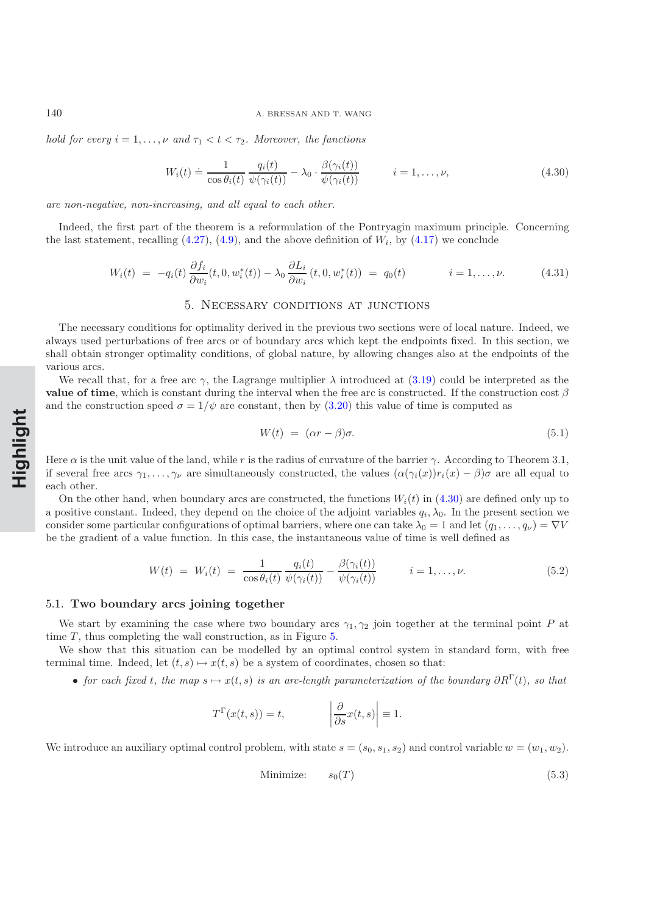<span id="page-16-0"></span>*hold for every*  $i = 1, \ldots, \nu$  *and*  $\tau_1 < t < \tau_2$ *. Moreover, the functions* 

$$
W_i(t) \doteq \frac{1}{\cos \theta_i(t)} \frac{q_i(t)}{\psi(\gamma_i(t))} - \lambda_0 \cdot \frac{\beta(\gamma_i(t))}{\psi(\gamma_i(t))} \qquad i = 1, \dots, \nu,
$$
\n(4.30)

*are non-negative, non-increasing, and all equal to each other.*

Indeed, the first part of the theorem is a reformulation of the Pontryagin maximum principle. Concerning the last statement, recalling  $(4.27)$ ,  $(4.9)$ , and the above definition of  $W_i$ , by  $(4.17)$  we conclude

$$
W_i(t) = -q_i(t)\frac{\partial f_i}{\partial w_i}(t,0,w_i^*(t)) - \lambda_0 \frac{\partial L_i}{\partial w_i}(t,0,w_i^*(t)) = q_0(t) \qquad i = 1,\ldots,\nu.
$$
 (4.31)

#### 5. Necessary conditions at junctions

The necessary conditions for optimality derived in the previous two sections were of local nature. Indeed, we always used perturbations of free arcs or of boundary arcs which kept the endpoints fixed. In this section, we shall obtain stronger optimality conditions, of global nature, by allowing changes also at the endpoints of the various arcs.

We recall that, for a free arc  $\gamma$ , the Lagrange multiplier  $\lambda$  introduced at [\(3.19\)](#page-9-2) could be interpreted as the **value of time**, which is constant during the interval when the free arc is constructed. If the construction cost  $\beta$ and the construction speed  $\sigma = 1/\psi$  are constant, then by [\(3.20\)](#page-9-3) this value of time is computed as

$$
W(t) = (\alpha r - \beta)\sigma. \tag{5.1}
$$

Here  $\alpha$  is the unit value of the land, while r is the radius of curvature of the barrier  $\gamma$ . According to Theorem 3.1, if several free arcs  $\gamma_1,\ldots,\gamma_\nu$  are simultaneously constructed, the values  $(\alpha(\gamma_i(x))r_i(x) - \beta)\sigma$  are all equal to each other.

On the other hand, when boundary arcs are constructed, the functions  $W_i(t)$  in [\(4.30\)](#page-16-0) are defined only up to a positive constant. Indeed, they depend on the choice of the adjoint variables  $q_i, \lambda_0$ . In the present section we consider some particular configurations of optimal barriers, where one can take  $\lambda_0 = 1$  and let  $(q_1, \ldots, q_\nu) = \nabla V$ be the gradient of a value function. In this case, the instantaneous value of time is well defined as

$$
W(t) = W_i(t) = \frac{1}{\cos \theta_i(t)} \frac{q_i(t)}{\psi(\gamma_i(t))} - \frac{\beta(\gamma_i(t))}{\psi(\gamma_i(t))} \qquad i = 1, \dots, \nu.
$$
 (5.2)

#### 5.1. **Two boundary arcs joining together**

We start by examining the case where two boundary arcs  $\gamma_1, \gamma_2$  join together at the terminal point P at time  $T$ , thus completing the wall construction, as in Figure [5.](#page-17-0)

We show that this situation can be modelled by an optimal control system in standard form, with free terminal time. Indeed, let  $(t, s) \mapsto x(t, s)$  be a system of coordinates, chosen so that:

• *for each fixed t, the map*  $s \mapsto x(t, s)$  *is an arc-length parameterization of the boundary*  $\partial R^{\Gamma}(t)$ *, so that* 

$$
T^{\Gamma}(x(t,s)) = t,
$$
  $\left|\frac{\partial}{\partial s}x(t,s)\right| \equiv 1.$ 

We introduce an auxiliary optimal control problem, with state  $s = (s_0, s_1, s_2)$  and control variable  $w = (w_1, w_2)$ .

$$
Minimize: \t s_0(T) \t (5.3)
$$

**Rapide NotHighlight**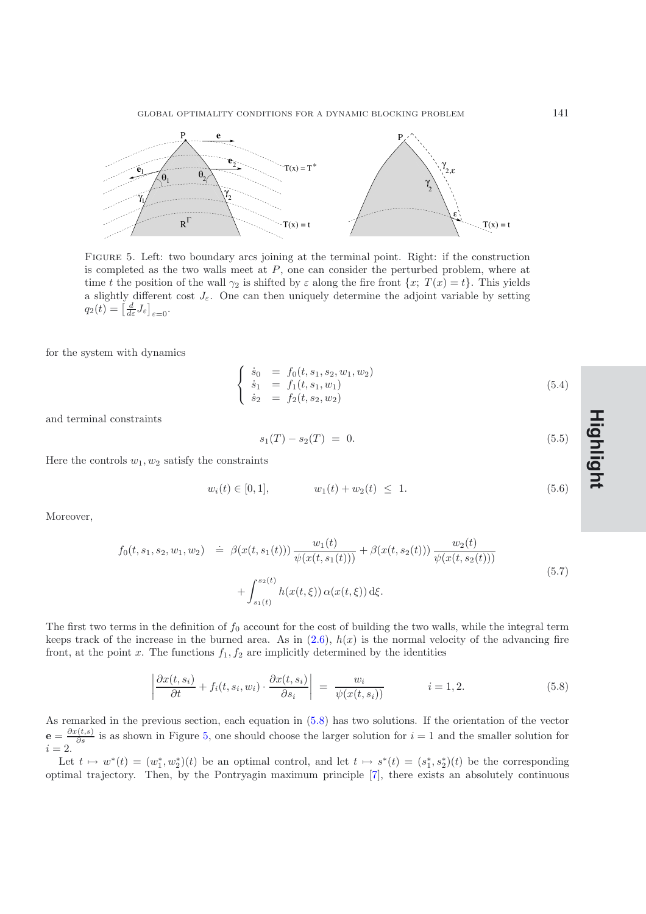

<span id="page-17-0"></span>Figure 5. Left: two boundary arcs joining at the terminal point. Right: if the construction is completed as the two walls meet at  $P$ , one can consider the perturbed problem, where at time t the position of the wall  $\gamma_2$  is shifted by  $\varepsilon$  along the fire front  $\{x; T(x) = t\}$ . This yields a slightly different cost  $J_{\varepsilon}$ . One can then uniquely determine the adjoint variable by setting  $q_2(t) = \left[\frac{d}{d\varepsilon}J_{\varepsilon}\right]_{\varepsilon=0}.$ 

for the system with dynamics

$$
\begin{cases}\n\dot{s}_0 = f_0(t, s_1, s_2, w_1, w_2) \\
\dot{s}_1 = f_1(t, s_1, w_1) \\
\dot{s}_2 = f_2(t, s_2, w_2)\n\end{cases}
$$
\n(5.4)

and terminal constraints

$$
s_1(T) - s_2(T) = 0. \t\t(5.5)
$$

Here the controls  $w_1, w_2$  satisfy the constraints

<span id="page-17-2"></span>
$$
w_i(t) \in [0,1], \qquad w_1(t) + w_2(t) \le 1. \tag{5.6}
$$

Moreover,

$$
f_0(t, s_1, s_2, w_1, w_2) \doteq \beta(x(t, s_1(t))) \frac{w_1(t)}{\psi(x(t, s_1(t)))} + \beta(x(t, s_2(t))) \frac{w_2(t)}{\psi(x(t, s_2(t)))} + \int_{s_1(t)}^{s_2(t)} h(x(t, \xi)) \alpha(x(t, \xi)) d\xi.
$$
 (5.7)

The first two terms in the definition of  $f_0$  account for the cost of building the two walls, while the integral term keeps track of the increase in the burned area. As in  $(2.6)$ ,  $h(x)$  is the normal velocity of the advancing fire front, at the point x. The functions  $f_1, f_2$  are implicitly determined by the identities

$$
\left| \frac{\partial x(t, s_i)}{\partial t} + f_i(t, s_i, w_i) \cdot \frac{\partial x(t, s_i)}{\partial s_i} \right| = \frac{w_i}{\psi(x(t, s_i))} \qquad i = 1, 2. \tag{5.8}
$$

<span id="page-17-1"></span>As remarked in the previous section, each equation in [\(5.8\)](#page-17-1) has two solutions. If the orientation of the vector  ${\bf e} = \frac{\partial x(t,s)}{\partial s}$  is as shown in Figure [5,](#page-17-0) one should choose the larger solution for  $i = 1$  and the smaller solution for  $i = 2$ .

Let  $t \mapsto w^*(t) = (w_1^*, w_2^*)(t)$  be an optimal control, and let  $t \mapsto s^*(t) = (s_1^*, s_2^*)(t)$  be the corresponding optimal trajectory. Then, by the Pontryagin maximum principle [\[7\]](#page-32-13), there exists an absolutely continuous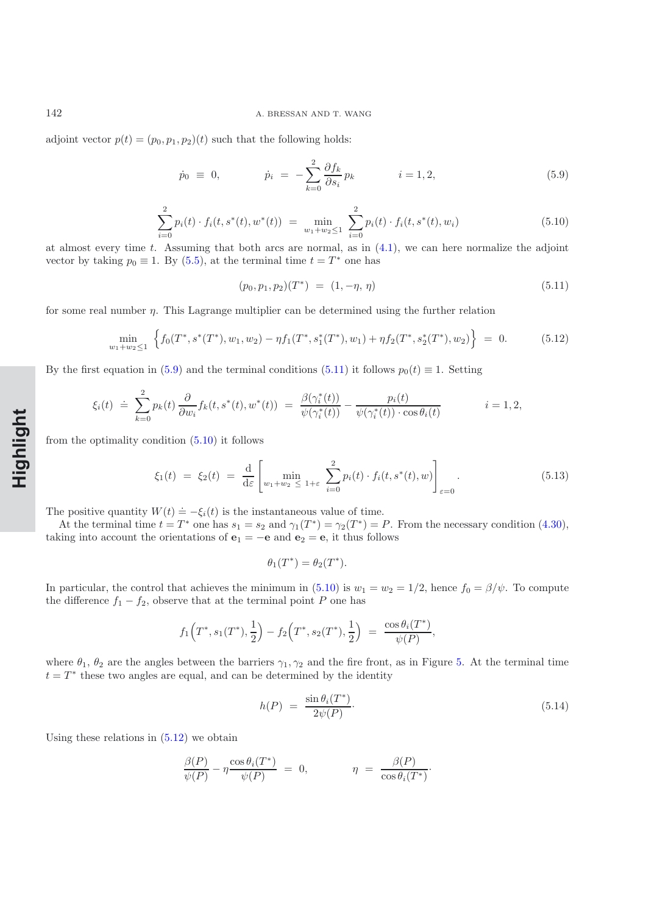<span id="page-18-0"></span>adjoint vector  $p(t)=(p_0, p_1, p_2)(t)$  such that the following holds:

$$
\dot{p}_0 \equiv 0, \qquad \dot{p}_i = -\sum_{k=0}^2 \frac{\partial f_k}{\partial s_i} p_k \qquad i = 1, 2, \qquad (5.9)
$$

$$
\sum_{i=0}^{2} p_i(t) \cdot f_i(t, s^*(t), w^*(t)) = \min_{w_1 + w_2 \le 1} \sum_{i=0}^{2} p_i(t) \cdot f_i(t, s^*(t), w_i)
$$
(5.10)

<span id="page-18-2"></span>at almost every time t. Assuming that both arcs are normal, as in  $(4.1)$ , we can here normalize the adjoint vector by taking  $p_0 \equiv 1$ . By [\(5.5\)](#page-17-2), at the terminal time  $t = T^*$  one has

$$
(p_0, p_1, p_2)(T^*) = (1, -\eta, \eta) \tag{5.11}
$$

<span id="page-18-3"></span>for some real number  $\eta$ . This Lagrange multiplier can be determined using the further relation

<span id="page-18-1"></span>
$$
\min_{w_1 + w_2 \le 1} \left\{ f_0(T^*, s^*(T^*), w_1, w_2) - \eta f_1(T^*, s_1^*(T^*), w_1) + \eta f_2(T^*, s_2^*(T^*), w_2) \right\} = 0. \tag{5.12}
$$

By the first equation in [\(5.9\)](#page-18-0) and the terminal conditions [\(5.11\)](#page-18-1) it follows  $p_0(t) \equiv 1$ . Setting

$$
\xi_i(t) \doteq \sum_{k=0}^2 p_k(t) \frac{\partial}{\partial w_i} f_k(t, s^*(t), w^*(t)) = \frac{\beta(\gamma_i^*(t))}{\psi(\gamma_i^*(t))} - \frac{p_i(t)}{\psi(\gamma_i^*(t)) \cdot \cos \theta_i(t)} \qquad i = 1, 2,
$$

from the optimality condition  $(5.10)$  it follows

$$
\xi_1(t) \ = \ \xi_2(t) \ = \ \frac{\mathrm{d}}{\mathrm{d}\varepsilon} \left[ \min_{w_1 + w_2 \ \leq \ 1 + \varepsilon} \ \sum_{i=0}^2 p_i(t) \cdot f_i(t, s^*(t), w) \right]_{\varepsilon = 0} . \tag{5.13}
$$

The positive quantity  $W(t) \doteq -\xi_i(t)$  is the instantaneous value of time.

At the terminal time  $t = T^*$  one has  $s_1 = s_2$  and  $\gamma_1(T^*) = \gamma_2(T^*) = P$ . From the necessary condition [\(4.30\)](#page-16-0), taking into account the orientations of  $\mathbf{e}_1 = -\mathbf{e}$  and  $\mathbf{e}_2 = \mathbf{e}$ , it thus follows

$$
\theta_1(T^*) = \theta_2(T^*).
$$

In particular, the control that achieves the minimum in [\(5.10\)](#page-18-2) is  $w_1 = w_2 = 1/2$ , hence  $f_0 = \beta/\psi$ . To compute the difference  $f_1 - f_2$ , observe that at the terminal point P one has

$$
f_1(T^*, s_1(T^*), \frac{1}{2}) - f_2(T^*, s_2(T^*), \frac{1}{2}) = \frac{\cos \theta_i(T^*)}{\psi(P)},
$$

where  $\theta_1$ ,  $\theta_2$  are the angles between the barriers  $\gamma_1, \gamma_2$  and the fire front, as in Figure [5.](#page-17-0) At the terminal time  $t = T^*$  these two angles are equal, and can be determined by the identity

$$
h(P) = \frac{\sin \theta_i(T^*)}{2\psi(P)}.
$$
\n
$$
(5.14)
$$

Using these relations in  $(5.12)$  we obtain

<span id="page-18-4"></span>
$$
\frac{\beta(P)}{\psi(P)} - \eta \frac{\cos \theta_i(T^*)}{\psi(P)} = 0, \qquad \eta = \frac{\beta(P)}{\cos \theta_i(T^*)}.
$$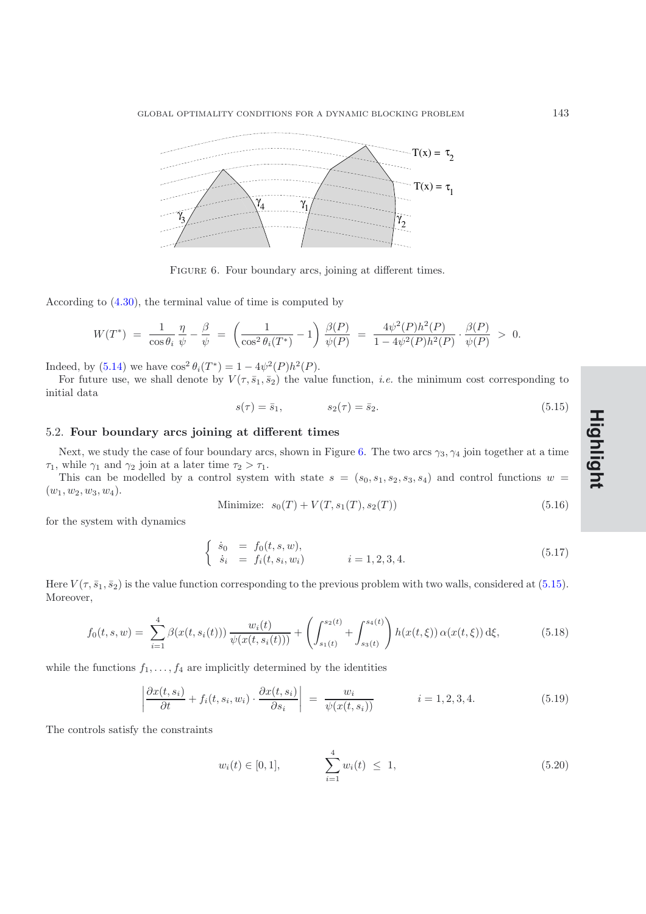

<span id="page-19-0"></span>FIGURE 6. Four boundary arcs, joining at different times.

According to [\(4.30\)](#page-16-0), the terminal value of time is computed by

$$
W(T^*) \ = \ \frac{1}{\cos \theta_i} \, \frac{\eta}{\psi} \ - \ \frac{\beta}{\psi} \ = \ \left( \frac{1}{\cos^2 \theta_i(T^*)} \ - \ 1 \right) \, \frac{\beta(P)}{\psi(P)} \ = \ \frac{4 \psi^2(P) h^2(P)}{1 - 4 \psi^2(P) h^2(P)} \cdot \frac{\beta(P)}{\psi(P)} \ > \ \ 0.
$$

Indeed, by [\(5.14\)](#page-18-4) we have  $\cos^2 \theta_i(T^*)=1 - 4\psi^2(P)h^2(P)$ .

For future use, we shall denote by  $V(\tau, \bar{s}_1, \bar{s}_2)$  the value function, *i.e.* the minimum cost corresponding to initial data

<span id="page-19-1"></span>
$$
s(\tau) = \bar{s}_1, \qquad s_2(\tau) = \bar{s}_2. \tag{5.15}
$$

## 5.2. **Four boundary arcs joining at different times**

Next, we study the case of four boundary arcs, shown in Figure [6.](#page-19-0) The two arcs  $\gamma_3, \gamma_4$  join together at a time  $\tau_1$ , while  $\gamma_1$  and  $\gamma_2$  join at a later time  $\tau_2 > \tau_1$ .

This can be modelled by a control system with state  $s = (s_0, s_1, s_2, s_3, s_4)$  and control functions  $w =$  $(w_1, w_2, w_3, w_4).$ 

Minimize: 
$$
s_0(T) + V(T, s_1(T), s_2(T))
$$
 (5.16)

for the system with dynamics

$$
\begin{cases}\n\dot{s}_0 = f_0(t, s, w), \\
\dot{s}_i = f_i(t, s_i, w_i)\n\end{cases}\n\quad i = 1, 2, 3, 4.
$$
\n(5.17)

Here  $V(\tau, \bar{s}_1, \bar{s}_2)$  is the value function corresponding to the previous problem with two walls, considered at [\(5.15\)](#page-19-1). Moreover,

$$
f_0(t,s,w) = \sum_{i=1}^4 \beta(x(t,s_i(t))) \frac{w_i(t)}{\psi(x(t,s_i(t)))} + \left( \int_{s_1(t)}^{s_2(t)} + \int_{s_3(t)}^{s_4(t)} \right) h(x(t,\xi)) \alpha(x(t,\xi)) d\xi, \tag{5.18}
$$

while the functions  $f_1, \ldots, f_4$  are implicitly determined by the identities

$$
\left| \frac{\partial x(t, s_i)}{\partial t} + f_i(t, s_i, w_i) \cdot \frac{\partial x(t, s_i)}{\partial s_i} \right| = \frac{w_i}{\psi(x(t, s_i))} \qquad i = 1, 2, 3, 4. \tag{5.19}
$$

The controls satisfy the constraints

$$
w_i(t) \in [0, 1], \qquad \sum_{i=1}^4 w_i(t) \le 1, \qquad (5.20)
$$

**Rapide NoteHighlight**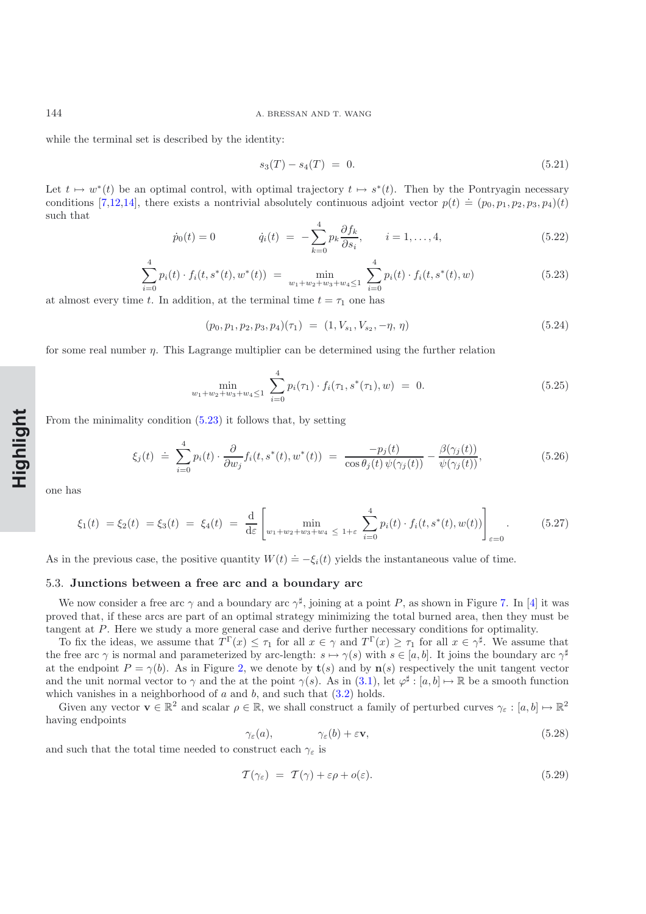while the terminal set is described by the identity:

$$
s_3(T) - s_4(T) = 0. \t\t(5.21)
$$

Let  $t \mapsto w^*(t)$  be an optimal control, with optimal trajectory  $t \mapsto s^*(t)$ . Then by the Pontryagin necessary conditions [\[7](#page-32-13)[,12](#page-32-11)[,14\]](#page-32-14), there exists a nontrivial absolutely continuous adjoint vector  $p(t) \doteq (p_0, p_1, p_2, p_3, p_4)(t)$ such that

$$
\dot{p}_0(t) = 0 \qquad \dot{q}_i(t) = -\sum_{k=0}^4 p_k \frac{\partial f_k}{\partial s_i}, \qquad i = 1, ..., 4,
$$
\n(5.22)

$$
\sum_{i=0}^{4} p_i(t) \cdot f_i(t, s^*(t), w^*(t)) = \min_{w_1 + w_2 + w_3 + w_4 \le 1} \sum_{i=0}^{4} p_i(t) \cdot f_i(t, s^*(t), w)
$$
\n(5.23)

<span id="page-20-0"></span>at almost every time t. In addition, at the terminal time  $t = \tau_1$  one has

$$
(p_0, p_1, p_2, p_3, p_4)(\tau_1) = (1, V_{s_1}, V_{s_2}, -\eta, \eta) \tag{5.24}
$$

for some real number  $\eta$ . This Lagrange multiplier can be determined using the further relation

$$
\min_{w_1 + w_2 + w_3 + w_4 \le 1} \sum_{i=0}^{4} p_i(\tau_1) \cdot f_i(\tau_1, s^*(\tau_1), w) = 0.
$$
\n(5.25)

From the minimality condition [\(5.23\)](#page-20-0) it follows that, by setting

$$
\xi_j(t) \doteq \sum_{i=0}^4 p_i(t) \cdot \frac{\partial}{\partial w_j} f_i(t, s^*(t), w^*(t)) = \frac{-p_j(t)}{\cos \theta_j(t) \psi(\gamma_j(t))} - \frac{\beta(\gamma_j(t))}{\psi(\gamma_j(t))},
$$
\n(5.26)

one has

$$
\xi_1(t) = \xi_2(t) = \xi_3(t) = \xi_4(t) = \frac{d}{d\varepsilon} \left[ \min_{w_1 + w_2 + w_3 + w_4 \le 1 + \varepsilon} \sum_{i=0}^4 p_i(t) \cdot f_i(t, s^*(t), w(t)) \right]_{\varepsilon = 0}.
$$
 (5.27)

As in the previous case, the positive quantity  $W(t) \doteq -\xi_i(t)$  yields the instantaneous value of time.

#### 5.3. **Junctions between a free arc and a boundary arc**

We now consider a free arc  $\gamma$  and a boundary arc  $\gamma^{\sharp}$ , joining at a point P, as shown in Figure [7.](#page-21-0) In [\[4\]](#page-32-0) it was proved that, if these arcs are part of an optimal strategy minimizing the total burned area, then they must be tangent at P. Here we study a more general case and derive further necessary conditions for optimality.

To fix the ideas, we assume that  $T^{\Gamma}(x) \leq \tau_1$  for all  $x \in \gamma$  and  $T^{\Gamma}(x) \geq \tau_1$  for all  $x \in \gamma^{\sharp}$ . We assume that the free arc  $\gamma$  is normal and parameterized by arc-length:  $s \mapsto \gamma(s)$  with  $s \in [a, b]$ . It joins the boundary arc  $\gamma^{\sharp}$ at the endpoint  $P = \gamma(b)$ . As in Figure [2,](#page-9-1) we denote by **t**(s) and by **n**(s) respectively the unit tangent vector and the unit normal vector to  $\gamma$  and the at the point  $\gamma(s)$ . As in [\(3.1\)](#page-6-3), let  $\varphi^{\sharp}: [a, b] \mapsto \mathbb{R}$  be a smooth function which vanishes in a neighborhood of  $a$  and  $b$ , and such that  $(3.2)$  holds.

Given any vector  $\mathbf{v} \in \mathbb{R}^2$  and scalar  $\rho \in \mathbb{R}$ , we shall construct a family of perturbed curves  $\gamma_{\varepsilon} : [a, b] \mapsto \mathbb{R}^2$ having endpoints

<span id="page-20-1"></span>
$$
\gamma_{\varepsilon}(a), \qquad \gamma_{\varepsilon}(b) + \varepsilon \mathbf{v}, \qquad (5.28)
$$

and such that the total time needed to construct each  $\gamma_{\varepsilon}$  is

<span id="page-20-2"></span>
$$
\mathcal{T}(\gamma_{\varepsilon}) = \mathcal{T}(\gamma) + \varepsilon \rho + o(\varepsilon). \tag{5.29}
$$

**Rapide NotHighlight**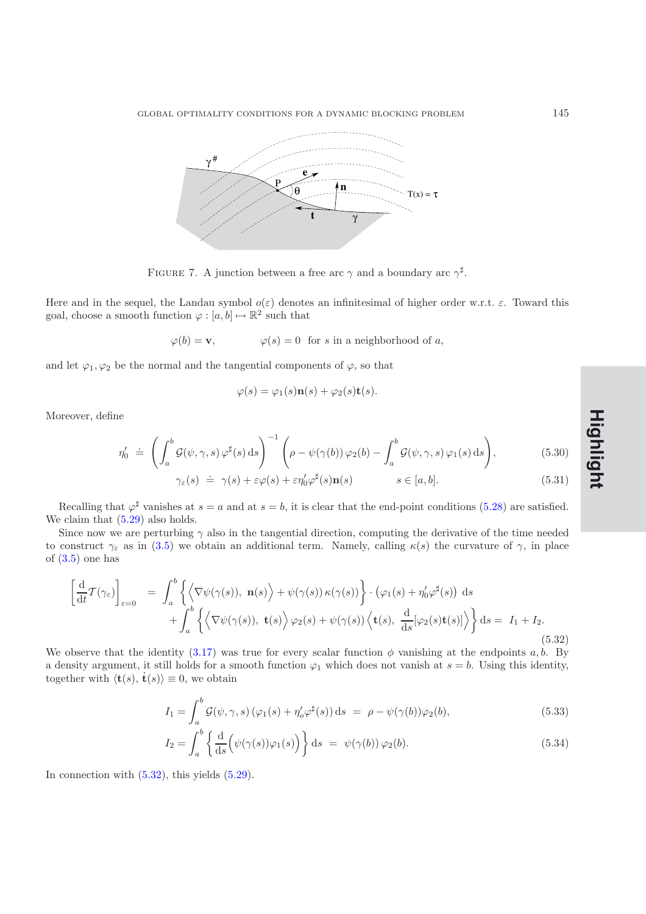

<span id="page-21-0"></span>FIGURE 7. A junction between a free arc  $\gamma$  and a boundary arc  $\gamma^{\sharp}$ .

Here and in the sequel, the Landau symbol  $o(\varepsilon)$  denotes an infinitesimal of higher order w.r.t.  $\varepsilon$ . Toward this goal, choose a smooth function  $\varphi : [a, b] \mapsto \mathbb{R}^2$  such that

$$
\varphi(b) = \mathbf{v},
$$
\n $\varphi(s) = 0$  for *s* in a neighborhood of *a*,

and let  $\varphi_1, \varphi_2$  be the normal and the tangential components of  $\varphi$ , so that

<span id="page-21-2"></span>
$$
\varphi(s) = \varphi_1(s)\mathbf{n}(s) + \varphi_2(s)\mathbf{t}(s).
$$

Moreover, define

$$
\eta_0' \doteq \left( \int_a^b \mathcal{G}(\psi, \gamma, s) \, \varphi^\sharp(s) \, \mathrm{d}s \right)^{-1} \left( \rho - \psi(\gamma(b)) \, \varphi_2(b) - \int_a^b \mathcal{G}(\psi, \gamma, s) \, \varphi_1(s) \, \mathrm{d}s \right),\tag{5.30}
$$
\n
$$
\gamma_\varepsilon(s) \doteq \gamma(s) + \varepsilon \varphi(s) + \varepsilon \eta_0' \varphi^\sharp(s) \mathbf{n}(s) \qquad s \in [a, b].\tag{5.31}
$$

Recalling that  $\varphi^{\sharp}$  vanishes at  $s = a$  and at  $s = b$ , it is clear that the end-point conditions [\(5.28\)](#page-20-1) are satisfied. We claim that  $(5.29)$  also holds.

Since now we are perturbing  $\gamma$  also in the tangential direction, computing the derivative of the time needed to construct  $\gamma_{\varepsilon}$  as in [\(3.5\)](#page-7-1) we obtain an additional term. Namely, calling  $\kappa(s)$  the curvature of  $\gamma$ , in place of  $(3.5)$  one has

$$
\left[\frac{\mathrm{d}}{\mathrm{d}t}\mathcal{T}(\gamma_{\varepsilon})\right]_{\varepsilon=0} = \int_{a}^{b} \left\{ \left\langle \nabla \psi(\gamma(s)), \mathbf{n}(s) \right\rangle + \psi(\gamma(s)) \kappa(\gamma(s)) \right\} \cdot \left(\varphi_{1}(s) + \eta'_{0} \varphi^{\sharp}(s)\right) \mathrm{d}s + \int_{a}^{b} \left\{ \left\langle \nabla \psi(\gamma(s)), \mathbf{t}(s) \right\rangle \varphi_{2}(s) + \psi(\gamma(s)) \left\langle \mathbf{t}(s), \frac{\mathrm{d}}{\mathrm{d}s}[\varphi_{2}(s)\mathbf{t}(s)] \right\rangle \right\} \mathrm{d}s = I_{1} + I_{2}.
$$
\n(5.32)

<span id="page-21-1"></span>We observe that the identity [\(3.17\)](#page-9-0) was true for every scalar function  $\phi$  vanishing at the endpoints a, b. By a density argument, it still holds for a smooth function  $\varphi_1$  which does not vanish at  $s = b$ . Using this identity, together with  $\langle \mathbf{t}(s), \dot{\mathbf{t}}(s) \rangle \equiv 0$ , we obtain

$$
I_1 = \int_a^b \mathcal{G}(\psi, \gamma, s) \left( \varphi_1(s) + \eta_o' \varphi^\sharp(s) \right) ds = \rho - \psi(\gamma(b)) \varphi_2(b), \tag{5.33}
$$

$$
I_2 = \int_a^b \left\{ \frac{d}{ds} \left( \psi(\gamma(s))\varphi_1(s) \right) \right\} ds = \psi(\gamma(b)) \varphi_2(b).
$$
 (5.34)

In connection with  $(5.32)$ , this yields  $(5.29)$ .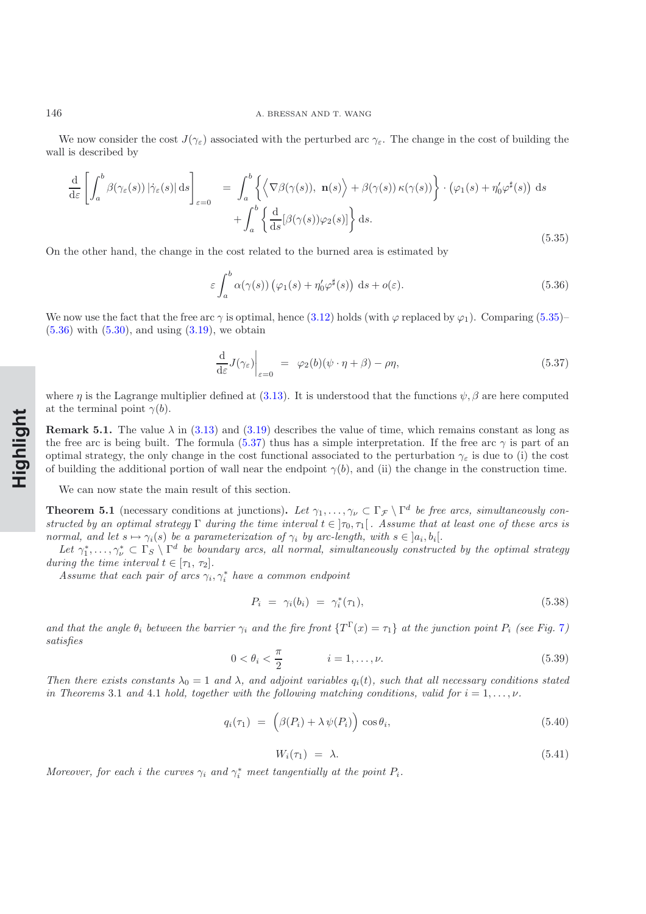We now consider the cost  $J(\gamma_{\varepsilon})$  associated with the perturbed arc  $\gamma_{\varepsilon}$ . The change in the cost of building the wall is described by

$$
\frac{\mathrm{d}}{\mathrm{d}\varepsilon} \left[ \int_a^b \beta(\gamma_\varepsilon(s)) |\dot{\gamma}_\varepsilon(s)| \, \mathrm{d}s \right]_{\varepsilon=0} = \int_a^b \left\{ \left\langle \nabla \beta(\gamma(s)), \, \mathbf{n}(s) \right\rangle + \beta(\gamma(s)) \kappa(\gamma(s)) \right\} \cdot \left( \varphi_1(s) + \eta'_0 \varphi^\sharp(s) \right) \, \mathrm{d}s + \int_a^b \left\{ \frac{\mathrm{d}}{\mathrm{d}s} [\beta(\gamma(s))\varphi_2(s)] \right\} \mathrm{d}s.
$$
\n(5.35)

<span id="page-22-0"></span>On the other hand, the change in the cost related to the burned area is estimated by

<span id="page-22-1"></span>
$$
\varepsilon \int_{a}^{b} \alpha(\gamma(s)) \left( \varphi_1(s) + \eta_0' \varphi^{\sharp}(s) \right) ds + o(\varepsilon).
$$
 (5.36)

We now use the fact that the free arc  $\gamma$  is optimal, hence [\(3.12\)](#page-8-1) holds (with  $\varphi$  replaced by  $\varphi_1$ ). Comparing [\(5.35\)](#page-22-0)–  $(5.36)$  with  $(5.30)$ , and using  $(3.19)$ , we obtain

<span id="page-22-2"></span>
$$
\frac{\mathrm{d}}{\mathrm{d}\varepsilon}J(\gamma_{\varepsilon})\Big|_{\varepsilon=0} = \varphi_2(b)(\psi \cdot \eta + \beta) - \rho \eta,\tag{5.37}
$$

where  $\eta$  is the Lagrange multiplier defined at [\(3.13\)](#page-8-2). It is understood that the functions  $\psi$ ,  $\beta$  are here computed at the terminal point  $\gamma(b)$ .

**Remark 5.1.** The value  $\lambda$  in [\(3.13\)](#page-8-2) and [\(3.19\)](#page-9-2) describes the value of time, which remains constant as long as the free arc is being built. The formula [\(5.37\)](#page-22-2) thus has a simple interpretation. If the free arc  $\gamma$  is part of an optimal strategy, the only change in the cost functional associated to the perturbation  $\gamma_{\varepsilon}$  is due to (i) the cost of building the additional portion of wall near the endpoint  $\gamma(b)$ , and (ii) the change in the construction time.

We can now state the main result of this section.

**Theorem 5.1** (necessary conditions at junctions). Let  $\gamma_1, \ldots, \gamma_\nu \subset \Gamma_{\mathcal{F}} \setminus \Gamma^d$  be free arcs, simultaneously con*structed by an optimal strategy*  $\Gamma$  *during the time interval*  $t \in [\tau_0, \tau_1]$ *. Assume that at least one of these arcs is normal, and let*  $s \mapsto \gamma_i(s)$  *be a parameterization of*  $\gamma_i$  *by arc-length, with*  $s \in [a_i, b_i]$ *.* 

Let  $\gamma_1^*,\ldots,\gamma_\nu^*\subset \Gamma_S\setminus\Gamma^d$  *be boundary arcs, all normal, simultaneously constructed by the optimal strategy during the time interval*  $t \in [\tau_1, \tau_2]$ *.* 

Assume that each pair of arcs  $\gamma_i, \gamma_i^*$  have a common endpoint

$$
P_i = \gamma_i(b_i) = \gamma_i^*(\tau_1), \tag{5.38}
$$

*and that the angle*  $\theta_i$  *between the barrier*  $\gamma_i$  *and the fire front*  $\{T^{\Gamma}(x) = \tau_1\}$  *at the junction point*  $P_i$  *(see Fig.* [7](#page-21-0)*) satisfies*

$$
0 < \theta_i < \frac{\pi}{2} \qquad i = 1, \dots, \nu. \tag{5.39}
$$

*Then there exists constants*  $\lambda_0 = 1$  *and*  $\lambda$ *, and adjoint variables*  $q_i(t)$ *, such that all necessary conditions stated in Theorems* 3.1 *and* 4.1 *hold, together with the following matching conditions, valid for*  $i = 1, \ldots, \nu$ *.* 

<span id="page-22-4"></span><span id="page-22-3"></span>
$$
q_i(\tau_1) = (\beta(P_i) + \lambda \psi(P_i)) \cos \theta_i, \qquad (5.40)
$$

$$
W_i(\tau_1) = \lambda. \tag{5.41}
$$

*Moreover, for each i the curves*  $\gamma_i$  *and*  $\gamma_i^*$  *meet tangentially at the point*  $P_i$ *.*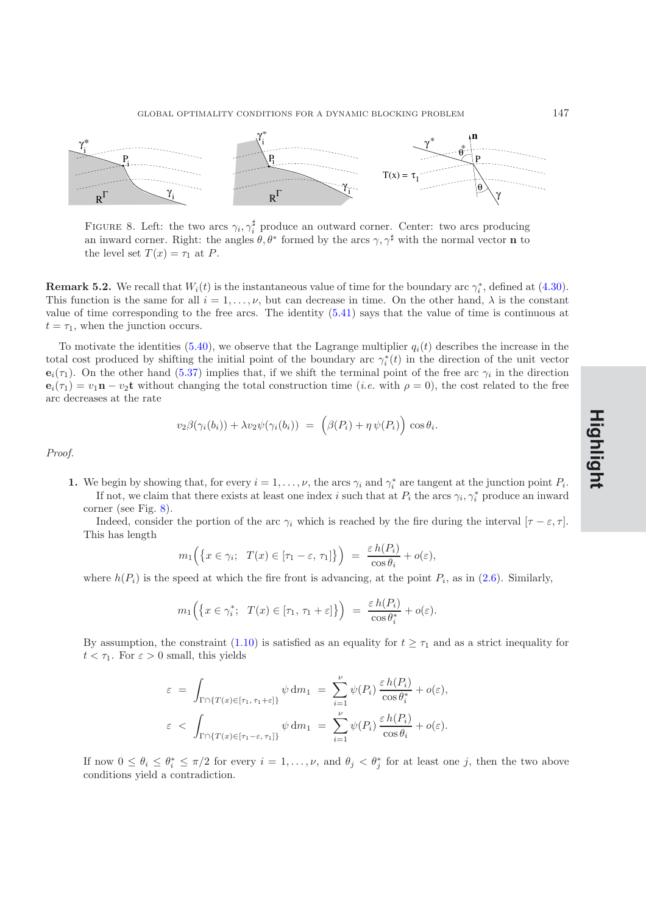

<span id="page-23-0"></span>FIGURE 8. Left: the two arcs  $\gamma_i, \gamma_i^{\sharp}$  produce an outward corner. Center: two arcs producing an inward corner. Right: the angles  $\theta$ ,  $\theta^*$  formed by the arcs  $\gamma$ ,  $\gamma^{\sharp}$  with the normal vector **n** to the level set  $T(x) = \tau_1$  at P.

**Remark 5.2.** We recall that  $W_i(t)$  is the instantaneous value of time for the boundary arc  $\gamma_i^*$ , defined at [\(4.30\)](#page-16-0). This function is the same for all  $i = 1, \ldots, \nu$ , but can decrease in time. On the other hand,  $\lambda$  is the constant value of time corresponding to the free arcs. The identity [\(5.41\)](#page-22-3) says that the value of time is continuous at  $t = \tau_1$ , when the junction occurs.

To motivate the identities [\(5.40\)](#page-22-4), we observe that the Lagrange multiplier  $q_i(t)$  describes the increase in the total cost produced by shifting the initial point of the boundary arc  $\gamma_i^*(t)$  in the direction of the unit vector  $e_i(\tau_1)$ . On the other hand [\(5.37\)](#page-22-2) implies that, if we shift the terminal point of the free arc  $\gamma_i$  in the direction  $\mathbf{e}_i(\tau_1) = v_1 \mathbf{n} - v_2 \mathbf{t}$  without changing the total construction time (*i.e.* with  $\rho = 0$ ), the cost related to the free arc decreases at the rate

$$
v_2\beta(\gamma_i(b_i)) + \lambda v_2\psi(\gamma_i(b_i)) = (\beta(P_i) + \eta \psi(P_i)) \cos \theta_i.
$$

*Proof.*

**1.** We begin by showing that, for every  $i = 1, \ldots, \nu$ , the arcs  $\gamma_i$  and  $\gamma_i^*$  are tangent at the junction point  $P_i$ . If not, we claim that there exists at least one index i such that at  $P_i$  the arcs  $\gamma_i, \gamma_i^*$  produce an inward corner (see Fig. [8\)](#page-23-0).

Indeed, consider the portion of the arc  $\gamma_i$  which is reached by the fire during the interval  $[\tau - \varepsilon, \tau]$ . This has length

$$
m_1\Big(\big\{x\in\gamma_i;\ \ T(x)\in[\tau_1-\varepsilon,\,\tau_1]\big\}\Big) \ =\ \frac{\varepsilon\,h(P_i)}{\cos\theta_i}+o(\varepsilon),
$$

where  $h(P_i)$  is the speed at which the fire front is advancing, at the point  $P_i$ , as in [\(2.6\)](#page-6-1). Similarly,

$$
m_1\Big(\big\{x\in\gamma_i^*;\ \ T(x)\in[\tau_1,\,\tau_1+\varepsilon]\big\}\Big) \ = \ \frac{\varepsilon\,h(P_i)}{\cos\theta_i^*} + o(\varepsilon).
$$

By assumption, the constraint [\(1.10\)](#page-2-1) is satisfied as an equality for  $t \geq \tau_1$  and as a strict inequality for  $t < \tau_1$ . For  $\varepsilon > 0$  small, this yields

$$
\varepsilon = \int_{\Gamma \cap \{T(x) \in [\tau_1, \tau_1 + \varepsilon]\}} \psi \, dm_1 = \sum_{i=1}^{\nu} \psi(P_i) \frac{\varepsilon h(P_i)}{\cos \theta_i^*} + o(\varepsilon),
$$
  

$$
\varepsilon < \int_{\Gamma \cap \{T(x) \in [\tau_1 - \varepsilon, \tau_1]\}} \psi \, dm_1 = \sum_{i=1}^{\nu} \psi(P_i) \frac{\varepsilon h(P_i)}{\cos \theta_i} + o(\varepsilon).
$$

If now  $0 \leq \theta_i \leq \theta_i^* \leq \pi/2$  for every  $i = 1, \ldots, \nu$ , and  $\theta_j < \theta_j^*$  for at least one j, then the two above conditions yield a contradiction.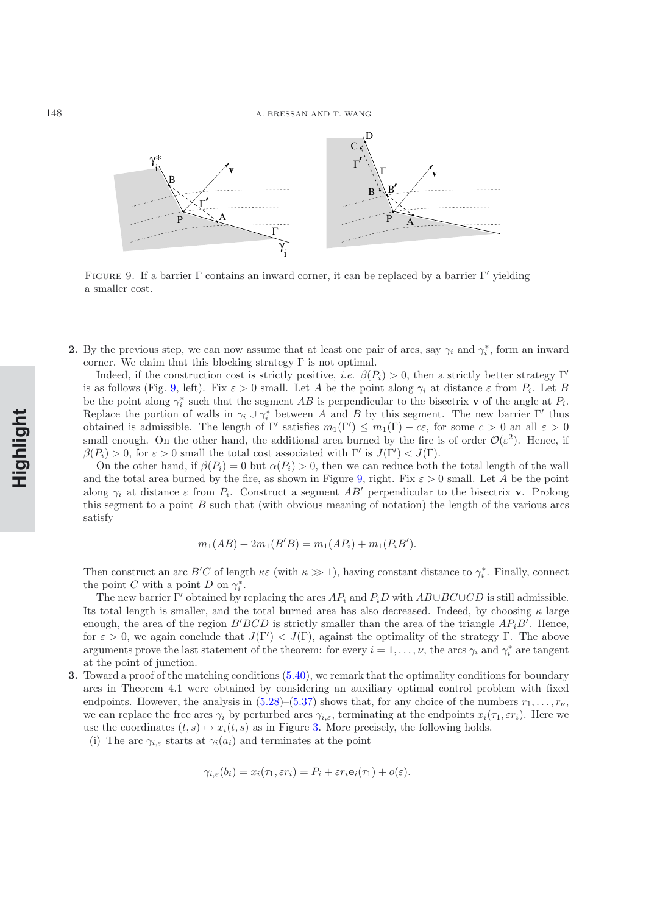

<span id="page-24-0"></span>FIGURE 9. If a barrier  $\Gamma$  contains an inward corner, it can be replaced by a barrier  $\Gamma'$  yielding a smaller cost.

**2.** By the previous step, we can now assume that at least one pair of arcs, say  $\gamma_i$  and  $\gamma_i^*$ , form an inward corner. We claim that this blocking strategy  $\Gamma$  is not optimal.

Indeed, if the construction cost is strictly positive, *i.e.*  $\beta(P_i) > 0$ , then a strictly better strategy Γ' is as follows (Fig. [9,](#page-24-0) left). Fix  $\varepsilon > 0$  small. Let A be the point along  $\gamma_i$  at distance  $\varepsilon$  from  $P_i$ . Let B be the point along  $\gamma_i^*$  such that the segment AB is perpendicular to the bisectrix **v** of the angle at  $P_i$ . Replace the portion of walls in  $\gamma_i \cup \gamma_i^*$  between A and B by this segment. The new barrier Γ' thus obtained is admissible. The length of  $\Gamma'$  satisfies  $m_1(\Gamma') \leq m_1(\Gamma) - c\epsilon$ , for some  $c > 0$  an all  $\epsilon > 0$ small enough. On the other hand, the additional area burned by the fire is of order  $\mathcal{O}(\varepsilon^2)$ . Hence, if  $\beta(P_i) > 0$ , for  $\varepsilon > 0$  small the total cost associated with  $\Gamma'$  is  $J(\Gamma') < J(\Gamma)$ .

On the other hand, if  $\beta(P_i) = 0$  but  $\alpha(P_i) > 0$ , then we can reduce both the total length of the wall and the total area burned by the fire, as shown in Figure [9,](#page-24-0) right. Fix  $\varepsilon > 0$  small. Let A be the point along  $\gamma_i$  at distance  $\varepsilon$  from  $P_i$ . Construct a segment  $AB'$  perpendicular to the bisectrix **v**. Prolong this segment to a point  $B$  such that (with obvious meaning of notation) the length of the various arcs satisfy

$$
m_1(AB) + 2m_1(B'B) = m_1(AP_i) + m_1(P_iB').
$$

Then construct an arc B'C of length  $\kappa \varepsilon$  (with  $\kappa \gg 1$ ), having constant distance to  $\gamma_i^*$ . Finally, connect the point C with a point D on  $\gamma_i^*$ .

The new barrier Γ' obtained by replacing the arcs  $AP_i$  and  $P_iD$  with  $AB\cup BC\cup CD$  is still admissible. Its total length is smaller, and the total burned area has also decreased. Indeed, by choosing  $\kappa$  large enough, the area of the region  $B'BCD$  is strictly smaller than the area of the triangle  $AP_iB'$ . Hence, for  $\varepsilon > 0$ , we again conclude that  $J(\Gamma') < J(\Gamma)$ , against the optimality of the strategy  $\Gamma$ . The above arguments prove the last statement of the theorem: for every  $i = 1, \ldots, \nu$ , the arcs  $\gamma_i$  and  $\gamma_i^*$  are tangent at the point of junction.

- **3.** Toward a proof of the matching conditions  $(5.40)$ , we remark that the optimality conditions for boundary arcs in Theorem 4.1 were obtained by considering an auxiliary optimal control problem with fixed endpoints. However, the analysis in  $(5.28)$ – $(5.37)$  shows that, for any choice of the numbers  $r_1, \ldots, r_{\nu}$ , we can replace the free arcs  $\gamma_i$  by perturbed arcs  $\gamma_{i,\varepsilon}$ , terminating at the endpoints  $x_i(\tau_1, \varepsilon r_i)$ . Here we use the coordinates  $(t, s) \mapsto x_i(t, s)$  as in Figure [3.](#page-12-0) More precisely, the following holds.
	- (i) The arc  $\gamma_{i,\varepsilon}$  starts at  $\gamma_i(a_i)$  and terminates at the point

$$
\gamma_{i,\varepsilon}(b_i) = x_i(\tau_1, \varepsilon r_i) = P_i + \varepsilon r_i \mathbf{e}_i(\tau_1) + o(\varepsilon).
$$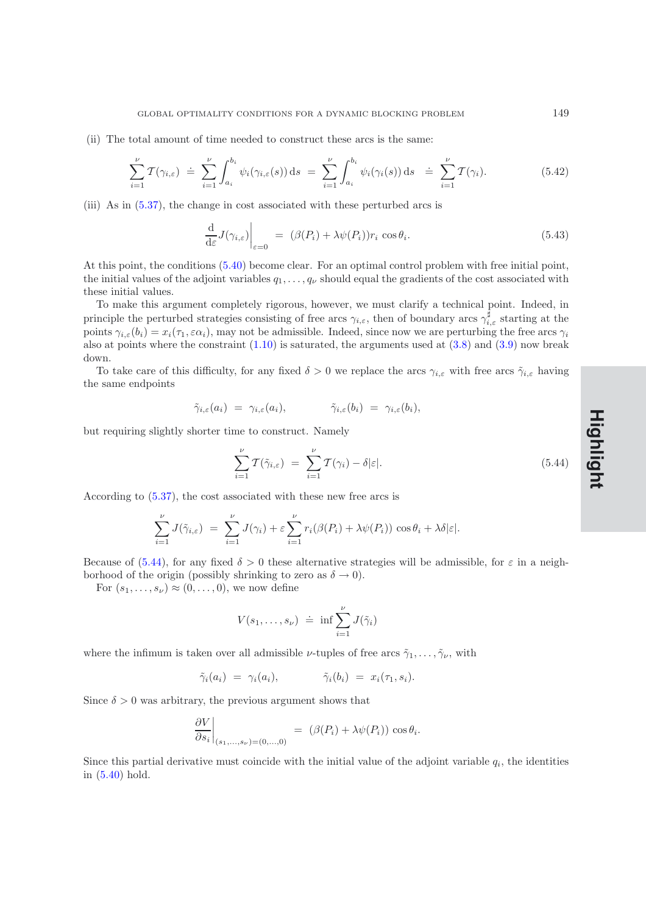(ii) The total amount of time needed to construct these arcs is the same:

$$
\sum_{i=1}^{\nu} \mathcal{T}(\gamma_{i,\varepsilon}) \doteq \sum_{i=1}^{\nu} \int_{a_i}^{b_i} \psi_i(\gamma_{i,\varepsilon}(s)) \, \mathrm{d}s \ = \ \sum_{i=1}^{\nu} \int_{a_i}^{b_i} \psi_i(\gamma_i(s)) \, \mathrm{d}s \ \doteq \ \sum_{i=1}^{\nu} \mathcal{T}(\gamma_i). \tag{5.42}
$$

<span id="page-25-1"></span>(iii) As in [\(5.37\)](#page-22-2), the change in cost associated with these perturbed arcs is

$$
\frac{\mathrm{d}}{\mathrm{d}\varepsilon}J(\gamma_{i,\varepsilon})\Big|_{\varepsilon=0} = (\beta(P_i) + \lambda \psi(P_i))r_i \cos \theta_i. \tag{5.43}
$$

At this point, the conditions [\(5.40\)](#page-22-4) become clear. For an optimal control problem with free initial point, the initial values of the adjoint variables  $q_1, \ldots, q_\nu$  should equal the gradients of the cost associated with these initial values.

To make this argument completely rigorous, however, we must clarify a technical point. Indeed, in principle the perturbed strategies consisting of free arcs  $\gamma_{i,\varepsilon}$ , then of boundary arcs  $\gamma_{i,\varepsilon}^{\frac{1}{\beta}}$  starting at the points  $\gamma_{i,\varepsilon}(b_i) = x_i(\tau_1, \varepsilon \alpha_i)$ , may not be admissible. Indeed, since now we are perturbing the free arcs  $\gamma_i$ also at points where the constraint  $(1.10)$  is saturated, the arguments used at  $(3.8)$  and  $(3.9)$  now break down.

To take care of this difficulty, for any fixed  $\delta > 0$  we replace the arcs  $\gamma_{i,\varepsilon}$  with free arcs  $\tilde{\gamma}_{i,\varepsilon}$  having the same endpoints

$$
\tilde{\gamma}_{i,\varepsilon}(a_i) = \gamma_{i,\varepsilon}(a_i), \qquad \tilde{\gamma}_{i,\varepsilon}(b_i) = \gamma_{i,\varepsilon}(b_i),
$$

but requiring slightly shorter time to construct. Namely

$$
\sum_{i=1}^{\nu} \mathcal{T}(\tilde{\gamma}_{i,\varepsilon}) = \sum_{i=1}^{\nu} \mathcal{T}(\gamma_i) - \delta |\varepsilon|.
$$
\n(5.44)

According to [\(5.37\)](#page-22-2), the cost associated with these new free arcs is

<span id="page-25-0"></span>
$$
\sum_{i=1}^{\nu} J(\tilde{\gamma}_{i,\varepsilon}) = \sum_{i=1}^{\nu} J(\gamma_i) + \varepsilon \sum_{i=1}^{\nu} r_i (\beta(P_i) + \lambda \psi(P_i)) \cos \theta_i + \lambda \delta |\varepsilon|.
$$

Because of [\(5.44\)](#page-25-0), for any fixed  $\delta > 0$  these alternative strategies will be admissible, for  $\varepsilon$  in a neighborhood of the origin (possibly shrinking to zero as  $\delta \to 0$ ).

For  $(s_1,\ldots,s_\nu) \approx (0,\ldots,0)$ , we now define

$$
V(s_1,\ldots,s_\nu) \doteq \inf \sum_{i=1}^\nu J(\tilde{\gamma}_i)
$$

where the infimum is taken over all admissible  $\nu$ -tuples of free arcs  $\tilde{\gamma}_1,\ldots,\tilde{\gamma}_\nu$ , with

$$
\tilde{\gamma}_i(a_i) = \gamma_i(a_i), \qquad \tilde{\gamma}_i(b_i) = x_i(\tau_1, s_i).
$$

Since  $\delta > 0$  was arbitrary, the previous argument shows that

$$
\left. \frac{\partial V}{\partial s_i} \right|_{(s_1,\ldots,s_\nu)=(0,\ldots,0)} = (\beta(P_i) + \lambda \psi(P_i)) \cos \theta_i.
$$

Since this partial derivative must coincide with the initial value of the adjoint variable  $q_i$ , the identities in [\(5.40\)](#page-22-4) hold.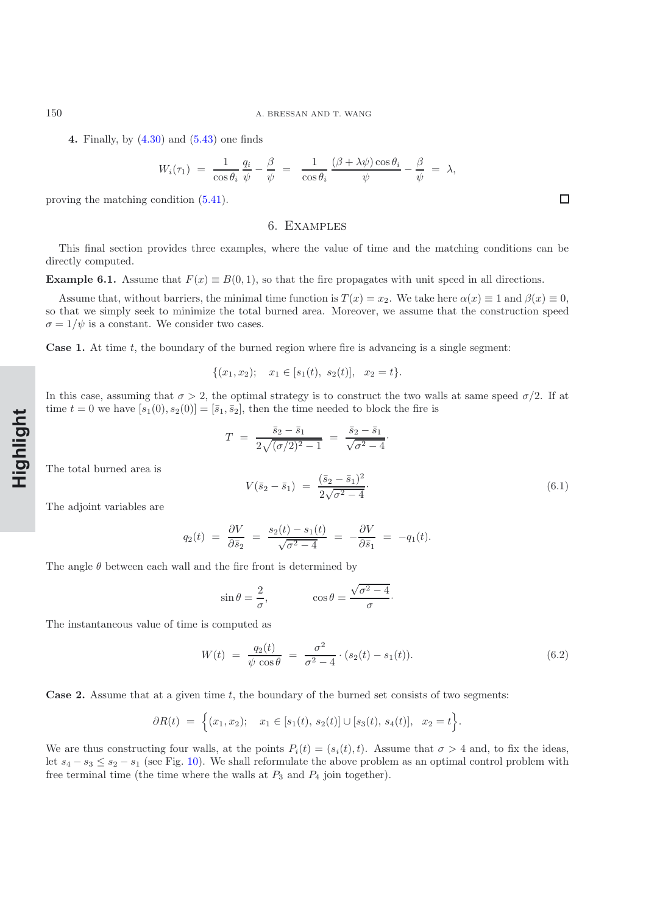150 A. BRESSAN AND T. WANG

**4.** Finally, by [\(4.30\)](#page-16-0) and [\(5.43\)](#page-25-1) one finds

$$
W_i(\tau_1) = \frac{1}{\cos \theta_i} \frac{q_i}{\psi} - \frac{\beta}{\psi} = \frac{1}{\cos \theta_i} \frac{(\beta + \lambda \psi) \cos \theta_i}{\psi} - \frac{\beta}{\psi} = \lambda,
$$

proving the matching condition [\(5.41\)](#page-22-3).

## 6. Examples

This final section provides three examples, where the value of time and the matching conditions can be directly computed.

#### **Example 6.1.** Assume that  $F(x) \equiv B(0, 1)$ , so that the fire propagates with unit speed in all directions.

Assume that, without barriers, the minimal time function is  $T(x) = x_2$ . We take here  $\alpha(x) \equiv 1$  and  $\beta(x) \equiv 0$ , so that we simply seek to minimize the total burned area. Moreover, we assume that the construction speed  $\sigma = 1/\psi$  is a constant. We consider two cases.

**Case 1.** At time t, the boundary of the burned region where fire is advancing is a single segment:

$$
\{(x_1, x_2); \quad x_1 \in [s_1(t), s_2(t)], \quad x_2 = t\}.
$$

In this case, assuming that  $\sigma > 2$ , the optimal strategy is to construct the two walls at same speed  $\sigma/2$ . If at time  $t = 0$  we have  $[s_1(0), s_2(0)] = [\bar{s}_1, \bar{s}_2]$ , then the time needed to block the fire is

$$
T = \frac{\bar{s}_2 - \bar{s}_1}{2\sqrt{(\sigma/2)^2 - 1}} = \frac{\bar{s}_2 - \bar{s}_1}{\sqrt{\sigma^2 - 4}}.
$$

The total burned area is

$$
V(\bar{s}_2 - \bar{s}_1) = \frac{(\bar{s}_2 - \bar{s}_1)^2}{2\sqrt{\sigma^2 - 4}}.
$$
\n(6.1)

The adjoint variables are

<span id="page-26-0"></span>
$$
q_2(t) = \frac{\partial V}{\partial \bar{s}_2} = \frac{s_2(t) - s_1(t)}{\sqrt{\sigma^2 - 4}} = -\frac{\partial V}{\partial \bar{s}_1} = -q_1(t).
$$

The angle  $\theta$  between each wall and the fire front is determined by

$$
\sin \theta = \frac{2}{\sigma}, \qquad \cos \theta = \frac{\sqrt{\sigma^2 - 4}}{\sigma}.
$$

The instantaneous value of time is computed as

$$
W(t) = \frac{q_2(t)}{\psi \cos \theta} = \frac{\sigma^2}{\sigma^2 - 4} \cdot (s_2(t) - s_1(t)).
$$
\n(6.2)

**Case 2.** Assume that at a given time t, the boundary of the burned set consists of two segments:

<span id="page-26-1"></span>
$$
\partial R(t) = \Big\{ (x_1, x_2); \quad x_1 \in [s_1(t), s_2(t)] \cup [s_3(t), s_4(t)], \quad x_2 = t \Big\}.
$$

We are thus constructing four walls, at the points  $P_i(t)=(s_i(t), t)$ . Assume that  $\sigma > 4$  and, to fix the ideas, let  $s_4 - s_3 \leq s_2 - s_1$  (see Fig. [10\)](#page-27-0). We shall reformulate the above problem as an optimal control problem with free terminal time (the time where the walls at  $P_3$  and  $P_4$  join together).

**Rapide NotHighlight**

 $\Box$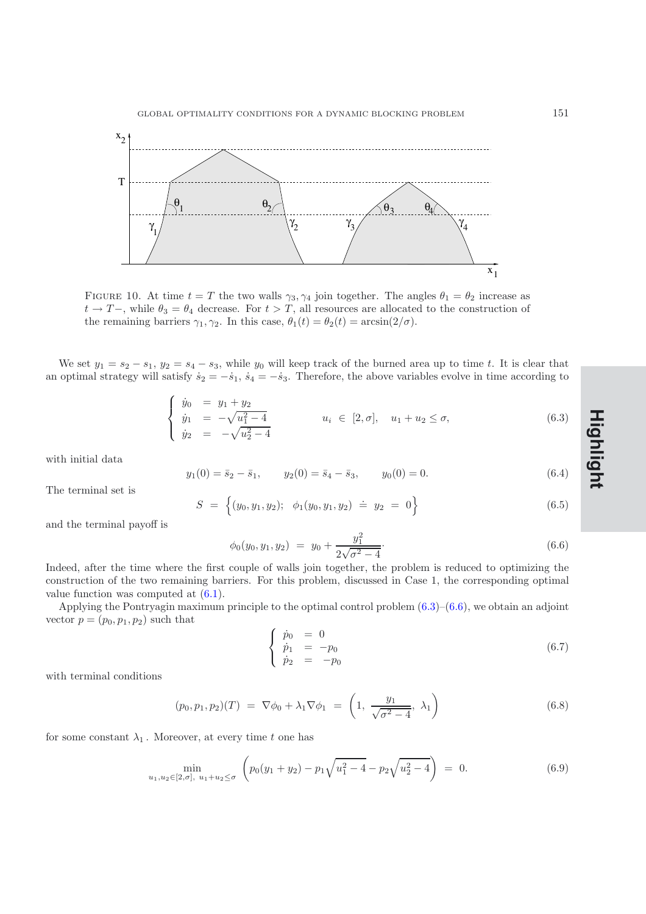

<span id="page-27-0"></span>FIGURE 10. At time  $t = T$  the two walls  $\gamma_3, \gamma_4$  join together. The angles  $\theta_1 = \theta_2$  increase as  $t \to T-$ , while  $\theta_3 = \theta_4$  decrease. For  $t>T$ , all resources are allocated to the construction of the remaining barriers  $\gamma_1, \gamma_2$ . In this case,  $\theta_1(t) = \theta_2(t) = \arcsin(2/\sigma)$ .

We set  $y_1 = s_2 - s_1$ ,  $y_2 = s_4 - s_3$ , while  $y_0$  will keep track of the burned area up to time t. It is clear that an optimal strategy will satisfy  $\dot{s}_2 = -\dot{s}_1$ ,  $\dot{s}_4 = -\dot{s}_3$ . Therefore, the above variables evolve in time according to

$$
\begin{cases}\n\dot{y}_0 = y_1 + y_2 \\
\dot{y}_1 = -\sqrt{u_1^2 - 4} \\
\dot{y}_2 = -\sqrt{u_2^2 - 4}\n\end{cases}\n\quad u_i \in [2, \sigma], \quad u_1 + u_2 \le \sigma,\n\tag{6.3}
$$

<span id="page-27-1"></span>with initial data

$$
y_1(0) = \bar{s}_2 - \bar{s}_1,
$$
  $y_2(0) = \bar{s}_4 - \bar{s}_3,$   $y_0(0) = 0.$  (6.4)

The terminal set is

<span id="page-27-2"></span>
$$
S = \left\{ (y_0, y_1, y_2); \phi_1(y_0, y_1, y_2) \doteq y_2 = 0 \right\}
$$
 (6.5)

and the terminal payoff is

$$
\phi_0(y_0, y_1, y_2) = y_0 + \frac{y_1^2}{2\sqrt{\sigma^2 - 4}}.
$$
\n(6.6)

Indeed, after the time where the first couple of walls join together, the problem is reduced to optimizing the construction of the two remaining barriers. For this problem, discussed in Case 1, the corresponding optimal value function was computed at [\(6.1\)](#page-26-0).

Applying the Pontryagin maximum principle to the optimal control problem  $(6.3)$ – $(6.6)$ , we obtain an adjoint vector  $p = (p_0, p_1, p_2)$  such that

$$
\begin{cases}\n\dot{p}_0 = 0 \\
\dot{p}_1 = -p_0 \\
\dot{p}_2 = -p_0\n\end{cases}
$$
\n(6.7)

with terminal conditions

$$
(p_0, p_1, p_2)(T) = \nabla \phi_0 + \lambda_1 \nabla \phi_1 = \left(1, \frac{y_1}{\sqrt{\sigma^2 - 4}}, \lambda_1\right)
$$
 (6.8)

<span id="page-27-3"></span>for some constant  $\lambda_1$ . Moreover, at every time t one has

$$
\min_{u_1, u_2 \in [2, \sigma], u_1 + u_2 \le \sigma} \left( p_0(y_1 + y_2) - p_1 \sqrt{u_1^2 - 4} - p_2 \sqrt{u_2^2 - 4} \right) = 0. \tag{6.9}
$$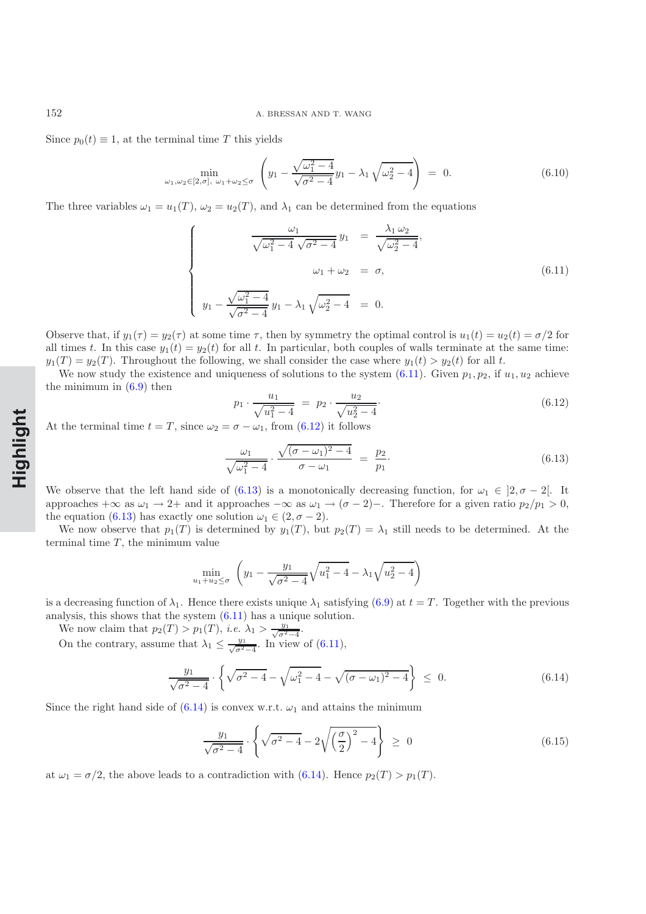Since  $p_0(t) \equiv 1$ , at the terminal time T this yields

$$
\min_{\omega_1, \omega_2 \in [2,\sigma], \ \omega_1 + \omega_2 \le \sigma} \left( y_1 - \frac{\sqrt{\omega_1^2 - 4}}{\sqrt{\sigma^2 - 4}} y_1 - \lambda_1 \sqrt{\omega_2^2 - 4} \right) = 0. \tag{6.10}
$$

The three variables  $\omega_1 = u_1(T)$ ,  $\omega_2 = u_2(T)$ , and  $\lambda_1$  can be determined from the equations

<span id="page-28-0"></span>
$$
\begin{cases}\n\frac{\omega_1}{\sqrt{\omega_1^2 - 4} \sqrt{\sigma^2 - 4}} y_1 = \frac{\lambda_1 \omega_2}{\sqrt{\omega_2^2 - 4}},\\
\omega_1 + \omega_2 = \sigma,\\
y_1 - \frac{\sqrt{\omega_1^2 - 4}}{\sqrt{\sigma^2 - 4}} y_1 - \lambda_1 \sqrt{\omega_2^2 - 4} = 0.\n\end{cases} (6.11)
$$

Observe that, if  $y_1(\tau) = y_2(\tau)$  at some time  $\tau$ , then by symmetry the optimal control is  $u_1(t) = u_2(t) = \sigma/2$  for all times t. In this case  $y_1(t) = y_2(t)$  for all t. In particular, both couples of walls terminate at the same time:  $y_1(T) = y_2(T)$ . Throughout the following, we shall consider the case where  $y_1(t) > y_2(t)$  for all t.

We now study the existence and uniqueness of solutions to the system  $(6.11)$ . Given  $p_1, p_2$ , if  $u_1, u_2$  achieve the minimum in  $(6.9)$  then

<span id="page-28-1"></span>
$$
p_1 \cdot \frac{u_1}{\sqrt{u_1^2 - 4}} = p_2 \cdot \frac{u_2}{\sqrt{u_2^2 - 4}}.
$$
\n(6.12)

At the terminal time  $t = T$ , since  $\omega_2 = \sigma - \omega_1$ , from [\(6.12\)](#page-28-1) it follows

<span id="page-28-2"></span>
$$
\frac{\omega_1}{\sqrt{\omega_1^2 - 4}} \cdot \frac{\sqrt{(\sigma - \omega_1)^2 - 4}}{\sigma - \omega_1} = \frac{p_2}{p_1}.
$$
\n(6.13)

We observe that the left hand side of [\(6.13\)](#page-28-2) is a monotonically decreasing function, for  $\omega_1 \in [2, \sigma - 2]$ . It approaches +∞ as  $\omega_1 \to 2+$  and it approaches  $-\infty$  as  $\omega_1 \to (\sigma - 2)-$ . Therefore for a given ratio  $p_2/p_1 > 0$ , the equation [\(6.13\)](#page-28-2) has exactly one solution  $\omega_1 \in (2, \sigma - 2)$ .

We now observe that  $p_1(T)$  is determined by  $y_1(T)$ , but  $p_2(T) = \lambda_1$  still needs to be determined. At the terminal time  $T$ , the minimum value

$$
\min_{u_1+u_2 \le \sigma} \left( y_1 - \frac{y_1}{\sqrt{\sigma^2 - 4}} \sqrt{u_1^2 - 4} - \lambda_1 \sqrt{u_2^2 - 4} \right)
$$

is a decreasing function of  $\lambda_1$ . Hence there exists unique  $\lambda_1$  satisfying [\(6.9\)](#page-27-3) at  $t = T$ . Together with the previous analysis, this shows that the system [\(6.11\)](#page-28-0) has a unique solution.

We now claim that  $p_2(T) > p_1(T)$ , *i.e.*  $\lambda_1 > \frac{y_1}{\sqrt{\sigma^2-4}}$ .

<span id="page-28-3"></span>On the contrary, assume that  $\lambda_1 \leq \frac{y_1}{\sqrt{\sigma^2-4}}$ . In view of [\(6.11\)](#page-28-0),

$$
\frac{y_1}{\sqrt{\sigma^2 - 4}} \cdot \left\{ \sqrt{\sigma^2 - 4} - \sqrt{\omega_1^2 - 4} - \sqrt{(\sigma - \omega_1)^2 - 4} \right\} \le 0. \tag{6.14}
$$

Since the right hand side of  $(6.14)$  is convex w.r.t.  $\omega_1$  and attains the minimum

$$
\frac{y_1}{\sqrt{\sigma^2 - 4}} \cdot \left\{ \sqrt{\sigma^2 - 4} - 2\sqrt{\left(\frac{\sigma}{2}\right)^2 - 4} \right\} \ge 0 \tag{6.15}
$$

at  $\omega_1 = \sigma/2$ , the above leads to a contradiction with [\(6.14\)](#page-28-3). Hence  $p_2(T) > p_1(T)$ .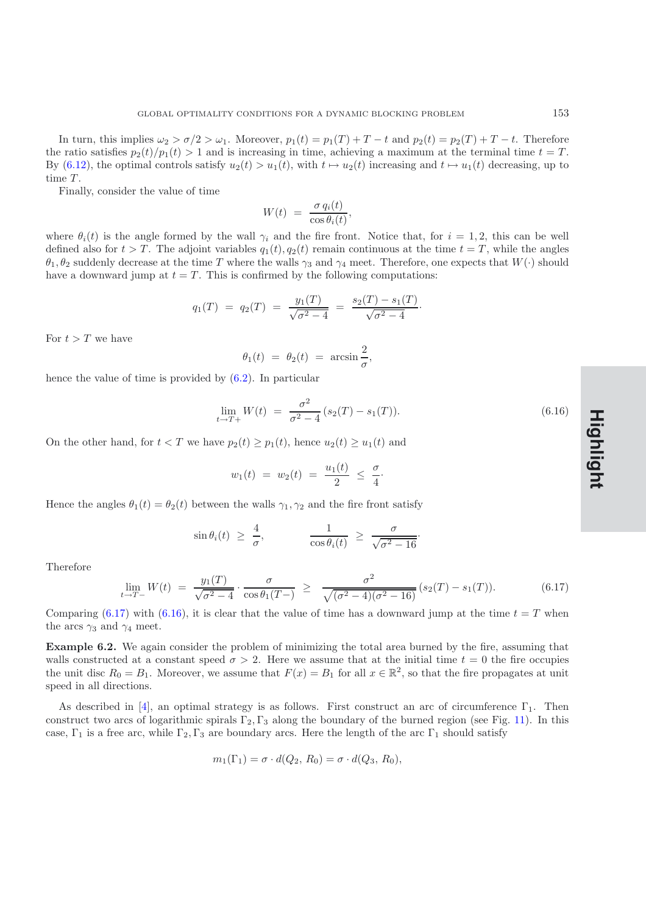In turn, this implies  $\omega_2 > \sigma/2 > \omega_1$ . Moreover,  $p_1(t) = p_1(T) + T - t$  and  $p_2(t) = p_2(T) + T - t$ . Therefore the ratio satisfies  $p_2(t)/p_1(t) > 1$  and is increasing in time, achieving a maximum at the terminal time  $t = T$ . By [\(6.12\)](#page-28-1), the optimal controls satisfy  $u_2(t) > u_1(t)$ , with  $t \mapsto u_2(t)$  increasing and  $t \mapsto u_1(t)$  decreasing, up to time T.

Finally, consider the value of time

$$
W(t) = \frac{\sigma q_i(t)}{\cos \theta_i(t)},
$$

where  $\theta_i(t)$  is the angle formed by the wall  $\gamma_i$  and the fire front. Notice that, for  $i = 1, 2$ , this can be well defined also for  $t>T$ . The adjoint variables  $q_1(t), q_2(t)$  remain continuous at the time  $t = T$ , while the angles  $\theta_1, \theta_2$  suddenly decrease at the time T where the walls  $\gamma_3$  and  $\gamma_4$  meet. Therefore, one expects that  $W(\cdot)$  should have a downward jump at  $t = T$ . This is confirmed by the following computations:

$$
q_1(T) = q_2(T) = \frac{y_1(T)}{\sqrt{\sigma^2 - 4}} = \frac{s_2(T) - s_1(T)}{\sqrt{\sigma^2 - 4}}.
$$

For  $t>T$  we have

$$
\theta_1(t) = \theta_2(t) = \arcsin \frac{2}{\sigma},
$$

hence the value of time is provided by [\(6.2\)](#page-26-1). In particular

<span id="page-29-1"></span>
$$
\lim_{t \to T+} W(t) = \frac{\sigma^2}{\sigma^2 - 4} (s_2(T) - s_1(T)).
$$
\n(6.16)

On the other hand, for  $t < T$  we have  $p_2(t) \geq p_1(t)$ , hence  $u_2(t) \geq u_1(t)$  and

$$
w_1(t) = w_2(t) = \frac{u_1(t)}{2} \leq \frac{\sigma}{4}
$$
.

Hence the angles  $\theta_1(t) = \theta_2(t)$  between the walls  $\gamma_1, \gamma_2$  and the fire front satisfy

$$
\sin \theta_i(t) \ \geq \ \frac{4}{\sigma}, \qquad \qquad \frac{1}{\cos \theta_i(t)} \ \geq \ \frac{\sigma}{\sqrt{\sigma^2 - 16}}.
$$

<span id="page-29-0"></span>Therefore

$$
\lim_{t \to T-} W(t) = \frac{y_1(T)}{\sqrt{\sigma^2 - 4}} \cdot \frac{\sigma}{\cos \theta_1(T-)} \ge \frac{\sigma^2}{\sqrt{(\sigma^2 - 4)(\sigma^2 - 16)}} (s_2(T) - s_1(T)). \tag{6.17}
$$

Comparing [\(6.17\)](#page-29-0) with [\(6.16\)](#page-29-1), it is clear that the value of time has a downward jump at the time  $t = T$  when the arcs  $\gamma_3$  and  $\gamma_4$  meet.

**Example 6.2.** We again consider the problem of minimizing the total area burned by the fire, assuming that walls constructed at a constant speed  $\sigma > 2$ . Here we assume that at the initial time  $t = 0$  the fire occupies the unit disc  $R_0 = B_1$ . Moreover, we assume that  $F(x) = B_1$  for all  $x \in \mathbb{R}^2$ , so that the fire propagates at unit speed in all directions.

As described in [\[4](#page-32-0)], an optimal strategy is as follows. First construct an arc of circumference  $\Gamma_1$ . Then construct two arcs of logarithmic spirals  $\Gamma_2, \Gamma_3$  along the boundary of the burned region (see Fig. [11\)](#page-30-0). In this case,  $\Gamma_1$  is a free arc, while  $\Gamma_2, \Gamma_3$  are boundary arcs. Here the length of the arc  $\Gamma_1$  should satisfy

$$
m_1(\Gamma_1) = \sigma \cdot d(Q_2, R_0) = \sigma \cdot d(Q_3, R_0),
$$

**Rapide NoteHighlight**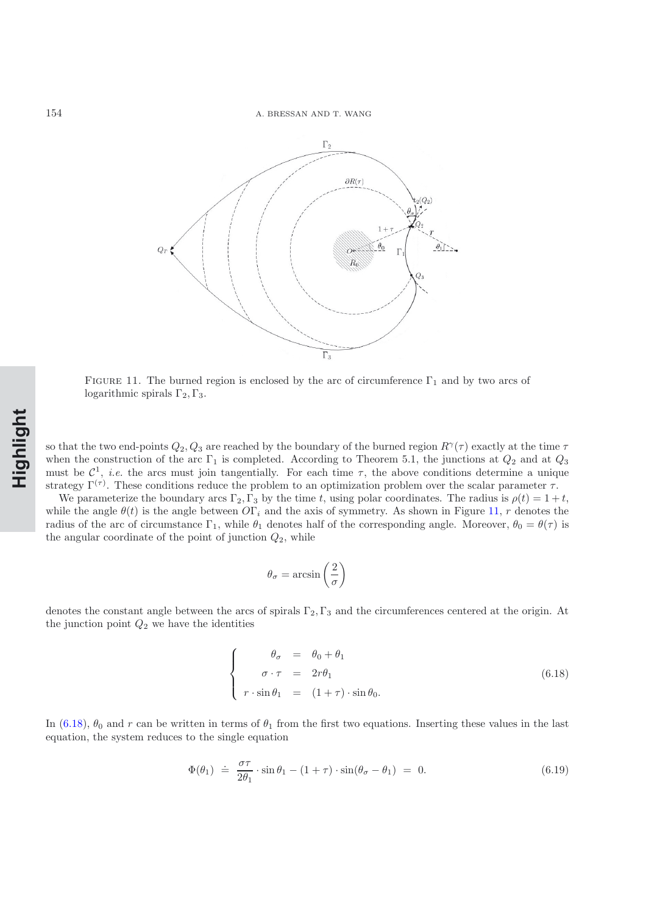

<span id="page-30-0"></span>FIGURE 11. The burned region is enclosed by the arc of circumference  $\Gamma_1$  and by two arcs of logarithmic spirals  $\Gamma_2, \Gamma_3$ .

so that the two end-points  $Q_2, Q_3$  are reached by the boundary of the burned region  $R^{\gamma}(\tau)$  exactly at the time  $\tau$ when the construction of the arc  $\Gamma_1$  is completed. According to Theorem 5.1, the junctions at  $Q_2$  and at  $Q_3$ must be  $C^1$ , *i.e.* the arcs must join tangentially. For each time  $\tau$ , the above conditions determine a unique strategy  $\Gamma^{(\tau)}$ . These conditions reduce the problem to an optimization problem over the scalar parameter  $\tau$ .

We parameterize the boundary arcs  $\Gamma_2$ ,  $\Gamma_3$  by the time t, using polar coordinates. The radius is  $\rho(t)= 1+t$ , while the angle  $\theta(t)$  is the angle between  $O\Gamma_i$  and the axis of symmetry. As shown in Figure [11,](#page-30-0) r denotes the radius of the arc of circumstance  $\Gamma_1$ , while  $\theta_1$  denotes half of the corresponding angle. Moreover,  $\theta_0 = \theta(\tau)$  is the angular coordinate of the point of junction  $Q_2$ , while

$$
\theta_{\sigma} = \arcsin\left(\frac{2}{\sigma}\right)
$$

denotes the constant angle between the arcs of spirals  $\Gamma_2$ ,  $\Gamma_3$  and the circumferences centered at the origin. At the junction point  $Q_2$  we have the identities

<span id="page-30-1"></span>
$$
\begin{cases}\n\theta_{\sigma} = \theta_{0} + \theta_{1} \\
\sigma \cdot \tau = 2r\theta_{1} \\
r \cdot \sin \theta_{1} = (1 + \tau) \cdot \sin \theta_{0}.\n\end{cases}
$$
\n(6.18)

In [\(6.18\)](#page-30-1),  $\theta_0$  and r can be written in terms of  $\theta_1$  from the first two equations. Inserting these values in the last equation, the system reduces to the single equation

$$
\Phi(\theta_1) \doteq \frac{\sigma \tau}{2\theta_1} \cdot \sin \theta_1 - (1 + \tau) \cdot \sin(\theta_\sigma - \theta_1) = 0. \tag{6.19}
$$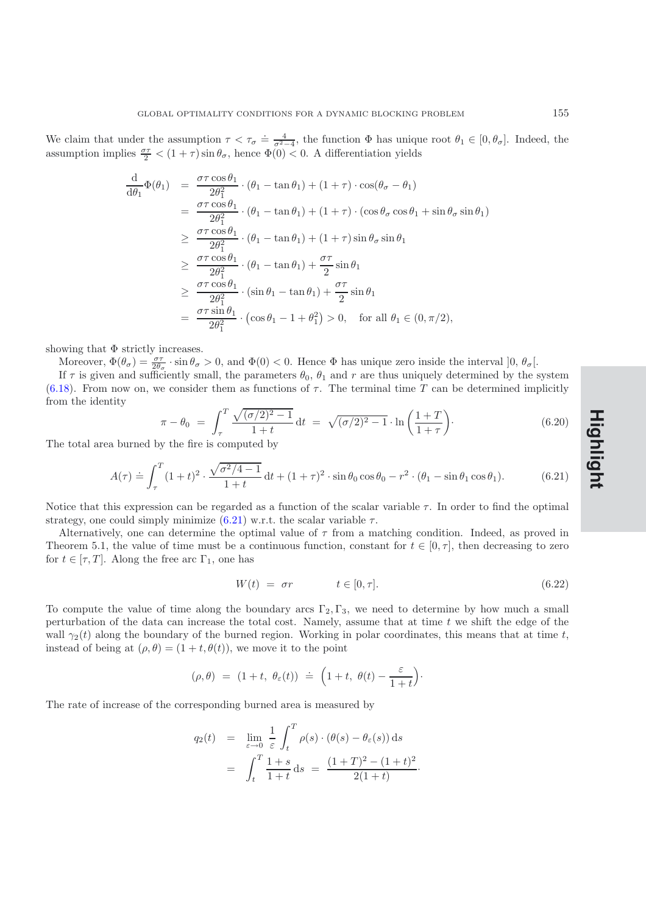We claim that under the assumption  $\tau < \tau_{\sigma} \doteq \frac{4}{\sigma^2-4}$ , the function  $\Phi$  has unique root  $\theta_1 \in [0, \theta_{\sigma}]$ . Indeed, the assumption implies  $\frac{\sigma\tau}{2} < (1+\tau)\sin\theta_{\sigma}$ , hence  $\Phi(0) < 0$ . A differentiation yields

$$
\frac{d}{d\theta_1}\Phi(\theta_1) = \frac{\sigma\tau\cos\theta_1}{2\theta_1^2} \cdot (\theta_1 - \tan\theta_1) + (1 + \tau) \cdot \cos(\theta_\sigma - \theta_1)
$$
\n
$$
= \frac{\sigma\tau\cos\theta_1}{2\theta_1^2} \cdot (\theta_1 - \tan\theta_1) + (1 + \tau) \cdot (\cos\theta_\sigma\cos\theta_1 + \sin\theta_\sigma\sin\theta_1)
$$
\n
$$
\geq \frac{\sigma\tau\cos\theta_1}{2\theta_1^2} \cdot (\theta_1 - \tan\theta_1) + (1 + \tau)\sin\theta_\sigma\sin\theta_1
$$
\n
$$
\geq \frac{\sigma\tau\cos\theta_1}{2\theta_1^2} \cdot (\theta_1 - \tan\theta_1) + \frac{\sigma\tau}{2}\sin\theta_1
$$
\n
$$
\geq \frac{\sigma\tau\cos\theta_1}{2\theta_1^2} \cdot (\sin\theta_1 - \tan\theta_1) + \frac{\sigma\tau}{2}\sin\theta_1
$$
\n
$$
= \frac{\sigma\tau\sin\theta_1}{2\theta_1^2} \cdot (\cos\theta_1 - 1 + \theta_1^2) > 0, \text{ for all } \theta_1 \in (0, \pi/2),
$$

showing that  $\Phi$  strictly increases.

Moreover,  $\Phi(\theta_{\sigma}) = \frac{\sigma \tau}{2\theta_{\sigma}} \cdot \sin \theta_{\sigma} > 0$ , and  $\Phi(0) < 0$ . Hence  $\Phi$  has unique zero inside the interval  $]0, \theta_{\sigma}$ .

If  $\tau$  is given and sufficiently small, the parameters  $\theta_0$ ,  $\theta_1$  and r are thus uniquely determined by the system [\(6.18\)](#page-30-1). From now on, we consider them as functions of  $\tau$ . The terminal time T can be determined implicitly from the identity

$$
\pi - \theta_0 = \int_{\tau}^{T} \frac{\sqrt{(\sigma/2)^2 - 1}}{1 + t} dt = \sqrt{(\sigma/2)^2 - 1} \cdot \ln\left(\frac{1 + T}{1 + \tau}\right).
$$
\n(6.20)

The total area burned by the fire is computed by

$$
A(\tau) \doteq \int_{\tau}^{T} (1+t)^2 \cdot \frac{\sqrt{\sigma^2/4 - 1}}{1+t} dt + (1+\tau)^2 \cdot \sin \theta_0 \cos \theta_0 - r^2 \cdot (\theta_1 - \sin \theta_1 \cos \theta_1). \tag{6.21}
$$

<span id="page-31-0"></span>Notice that this expression can be regarded as a function of the scalar variable  $\tau$ . In order to find the optimal strategy, one could simply minimize  $(6.21)$  w.r.t. the scalar variable  $\tau$ .

Alternatively, one can determine the optimal value of  $\tau$  from a matching condition. Indeed, as proved in Theorem 5.1, the value of time must be a continuous function, constant for  $t \in [0, \tau]$ , then decreasing to zero for  $t \in [\tau, T]$ . Along the free arc  $\Gamma_1$ , one has

<span id="page-31-1"></span>
$$
W(t) = \sigma r \qquad \qquad t \in [0, \tau]. \tag{6.22}
$$

To compute the value of time along the boundary arcs  $\Gamma_2, \Gamma_3$ , we need to determine by how much a small perturbation of the data can increase the total cost. Namely, assume that at time  $t$  we shift the edge of the wall  $\gamma_2(t)$  along the boundary of the burned region. Working in polar coordinates, this means that at time t, instead of being at  $(\rho, \theta) = (1 + t, \theta(t))$ , we move it to the point

$$
(\rho, \theta) = (1+t, \ \theta_{\varepsilon}(t)) \ \doteq \ \Big(1+t, \ \theta(t) - \frac{\varepsilon}{1+t}\Big).
$$

The rate of increase of the corresponding burned area is measured by

$$
q_2(t) = \lim_{\varepsilon \to 0} \frac{1}{\varepsilon} \int_t^T \rho(s) \cdot (\theta(s) - \theta_{\varepsilon}(s)) ds
$$
  
= 
$$
\int_t^T \frac{1+s}{1+t} ds = \frac{(1+T)^2 - (1+t)^2}{2(1+t)}.
$$